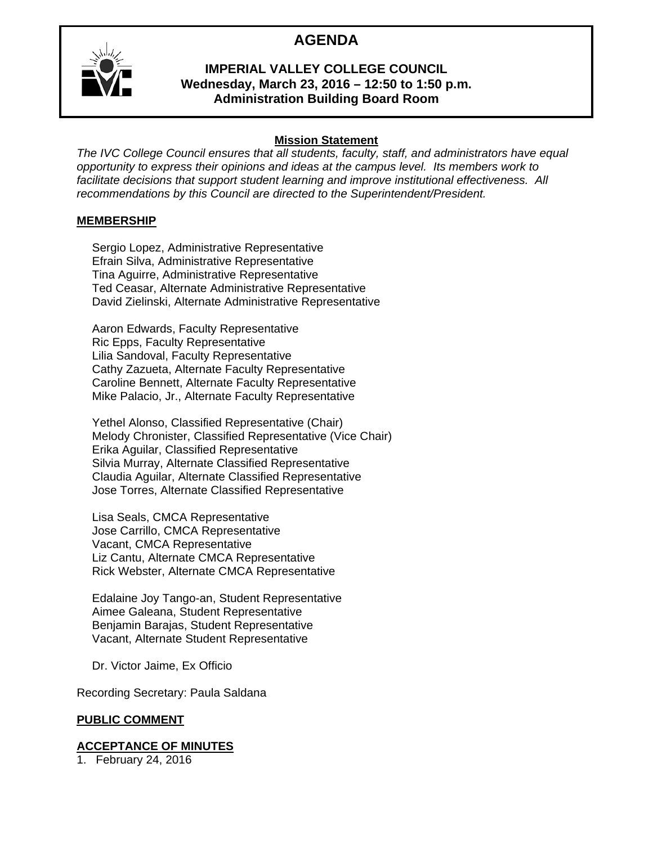# **AGENDA**



#### **IMPERIAL VALLEY COLLEGE COUNCIL Wednesday, March 23, 2016 – 12:50 to 1:50 p.m. Administration Building Board Room**

### **Mission Statement**

*The IVC College Council ensures that all students, faculty, staff, and administrators have equal opportunity to express their opinions and ideas at the campus level. Its members work to facilitate decisions that support student learning and improve institutional effectiveness. All recommendations by this Council are directed to the Superintendent/President.* 

#### **MEMBERSHIP**

Sergio Lopez, Administrative Representative Efrain Silva, Administrative Representative Tina Aguirre, Administrative Representative Ted Ceasar, Alternate Administrative Representative David Zielinski, Alternate Administrative Representative

Aaron Edwards, Faculty Representative Ric Epps, Faculty Representative Lilia Sandoval, Faculty Representative Cathy Zazueta, Alternate Faculty Representative Caroline Bennett, Alternate Faculty Representative Mike Palacio, Jr., Alternate Faculty Representative

Yethel Alonso, Classified Representative (Chair) Melody Chronister, Classified Representative (Vice Chair) Erika Aguilar, Classified Representative Silvia Murray, Alternate Classified Representative Claudia Aguilar, Alternate Classified Representative Jose Torres, Alternate Classified Representative

Lisa Seals, CMCA Representative Jose Carrillo, CMCA Representative Vacant, CMCA Representative Liz Cantu, Alternate CMCA Representative Rick Webster, Alternate CMCA Representative

Edalaine Joy Tango-an, Student Representative Aimee Galeana, Student Representative Benjamin Barajas, Student Representative Vacant, Alternate Student Representative

Dr. Victor Jaime, Ex Officio

Recording Secretary: Paula Saldana

#### **PUBLIC COMMENT**

#### **ACCEPTANCE OF MINUTES**

1. February 24, 2016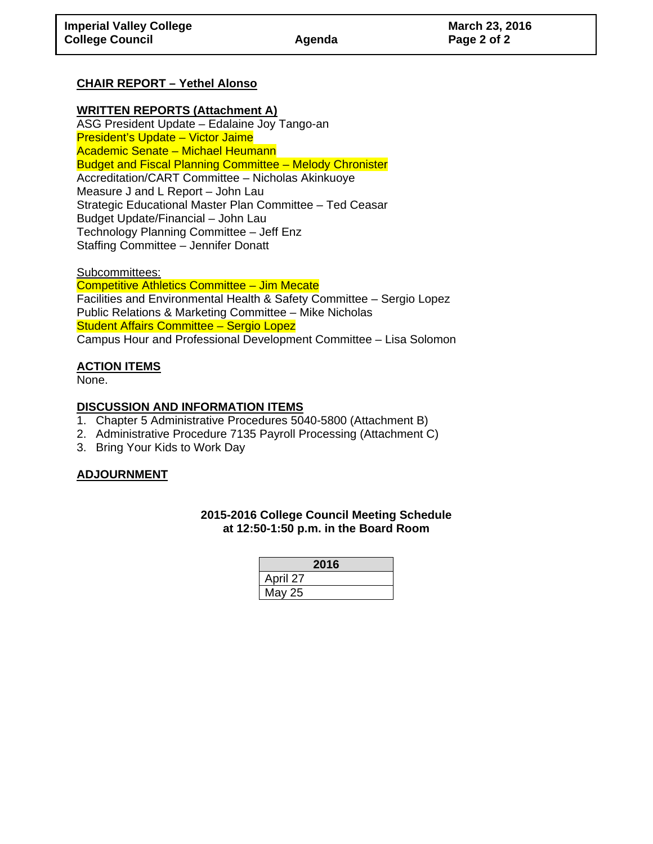### **CHAIR REPORT – Yethel Alonso**

#### **WRITTEN REPORTS (Attachment A)**

ASG President Update – Edalaine Joy Tango-an President's Update – Victor Jaime Academic Senate – Michael Heumann Budget and Fiscal Planning Committee – Melody Chronister Accreditation/CART Committee – Nicholas Akinkuoye Measure J and L Report – John Lau Strategic Educational Master Plan Committee – Ted Ceasar Budget Update/Financial – John Lau Technology Planning Committee – Jeff Enz Staffing Committee – Jennifer Donatt

Subcommittees: Competitive Athletics Committee – Jim Mecate Facilities and Environmental Health & Safety Committee – Sergio Lopez Public Relations & Marketing Committee – Mike Nicholas Student Affairs Committee – Sergio Lopez Campus Hour and Professional Development Committee – Lisa Solomon

#### **ACTION ITEMS**

None.

#### **DISCUSSION AND INFORMATION ITEMS**

- 1. Chapter 5 Administrative Procedures 5040-5800 (Attachment B)
- 2. Administrative Procedure 7135 Payroll Processing (Attachment C)
- 3. Bring Your Kids to Work Day

#### **ADJOURNMENT**

#### **2015-2016 College Council Meeting Schedule at 12:50-1:50 p.m. in the Board Room**

| 2016     |  |
|----------|--|
| April 27 |  |
| May 25   |  |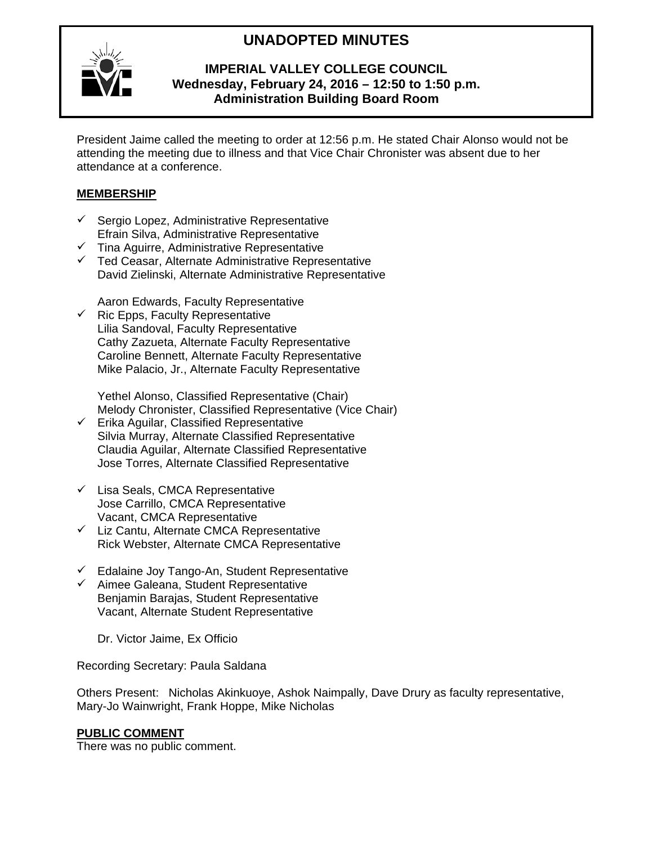# **UNADOPTED MINUTES**



#### **IMPERIAL VALLEY COLLEGE COUNCIL Wednesday, February 24, 2016 – 12:50 to 1:50 p.m. Administration Building Board Room**

President Jaime called the meeting to order at 12:56 p.m. He stated Chair Alonso would not be attending the meeting due to illness and that Vice Chair Chronister was absent due to her attendance at a conference.

#### **MEMBERSHIP**

- $\checkmark$  Sergio Lopez, Administrative Representative Efrain Silva, Administrative Representative
- $\checkmark$  Tina Aguirre, Administrative Representative
- $\checkmark$  Ted Ceasar, Alternate Administrative Representative David Zielinski, Alternate Administrative Representative

Aaron Edwards, Faculty Representative

 $\checkmark$  Ric Epps, Faculty Representative Lilia Sandoval, Faculty Representative Cathy Zazueta, Alternate Faculty Representative Caroline Bennett, Alternate Faculty Representative Mike Palacio, Jr., Alternate Faculty Representative

Yethel Alonso, Classified Representative (Chair) Melody Chronister, Classified Representative (Vice Chair)

- $\checkmark$  Erika Aguilar, Classified Representative Silvia Murray, Alternate Classified Representative Claudia Aguilar, Alternate Classified Representative Jose Torres, Alternate Classified Representative
- $\checkmark$  Lisa Seals, CMCA Representative Jose Carrillo, CMCA Representative Vacant, CMCA Representative
- $\checkmark$  Liz Cantu, Alternate CMCA Representative Rick Webster, Alternate CMCA Representative
- $\checkmark$  Edalaine Joy Tango-An, Student Representative
- $\checkmark$  Aimee Galeana, Student Representative Benjamin Barajas, Student Representative Vacant, Alternate Student Representative

Dr. Victor Jaime, Ex Officio

Recording Secretary: Paula Saldana

Others Present: Nicholas Akinkuoye, Ashok Naimpally, Dave Drury as faculty representative, Mary-Jo Wainwright, Frank Hoppe, Mike Nicholas

#### **PUBLIC COMMENT**

There was no public comment.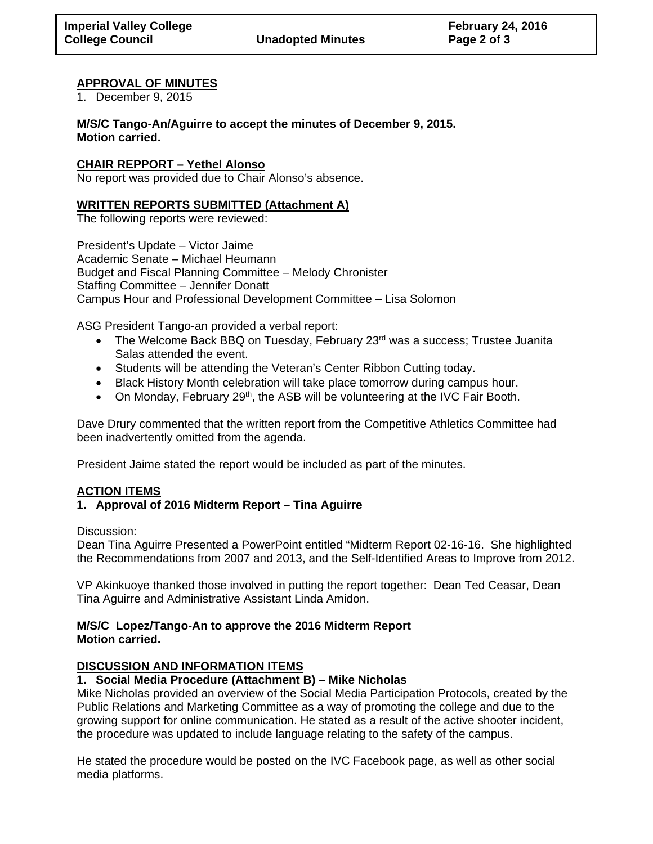**College Council Unadopted Minutes Page 2 of 3** 

#### **APPROVAL OF MINUTES**

1. December 9, 2015

**M/S/C Tango-An/Aguirre to accept the minutes of December 9, 2015. Motion carried.** 

#### **CHAIR REPPORT – Yethel Alonso**

No report was provided due to Chair Alonso's absence.

#### **WRITTEN REPORTS SUBMITTED (Attachment A)**

The following reports were reviewed:

President's Update – Victor Jaime Academic Senate – Michael Heumann Budget and Fiscal Planning Committee – Melody Chronister Staffing Committee – Jennifer Donatt Campus Hour and Professional Development Committee – Lisa Solomon

ASG President Tango-an provided a verbal report:

- The Welcome Back BBQ on Tuesday, February 23<sup>rd</sup> was a success; Trustee Juanita Salas attended the event.
- Students will be attending the Veteran's Center Ribbon Cutting today.
- Black History Month celebration will take place tomorrow during campus hour.
- On Monday, February 29<sup>th</sup>, the ASB will be volunteering at the IVC Fair Booth.

Dave Drury commented that the written report from the Competitive Athletics Committee had been inadvertently omitted from the agenda.

President Jaime stated the report would be included as part of the minutes.

#### **ACTION ITEMS**

#### **1. Approval of 2016 Midterm Report – Tina Aguirre**

#### Discussion:

Dean Tina Aguirre Presented a PowerPoint entitled "Midterm Report 02-16-16. She highlighted the Recommendations from 2007 and 2013, and the Self-Identified Areas to Improve from 2012.

VP Akinkuoye thanked those involved in putting the report together: Dean Ted Ceasar, Dean Tina Aguirre and Administrative Assistant Linda Amidon.

#### **M/S/C Lopez/Tango-An to approve the 2016 Midterm Report Motion carried.**

#### **DISCUSSION AND INFORMATION ITEMS**

#### **1. Social Media Procedure (Attachment B) – Mike Nicholas**

Mike Nicholas provided an overview of the Social Media Participation Protocols, created by the Public Relations and Marketing Committee as a way of promoting the college and due to the growing support for online communication. He stated as a result of the active shooter incident, the procedure was updated to include language relating to the safety of the campus.

He stated the procedure would be posted on the IVC Facebook page, as well as other social media platforms.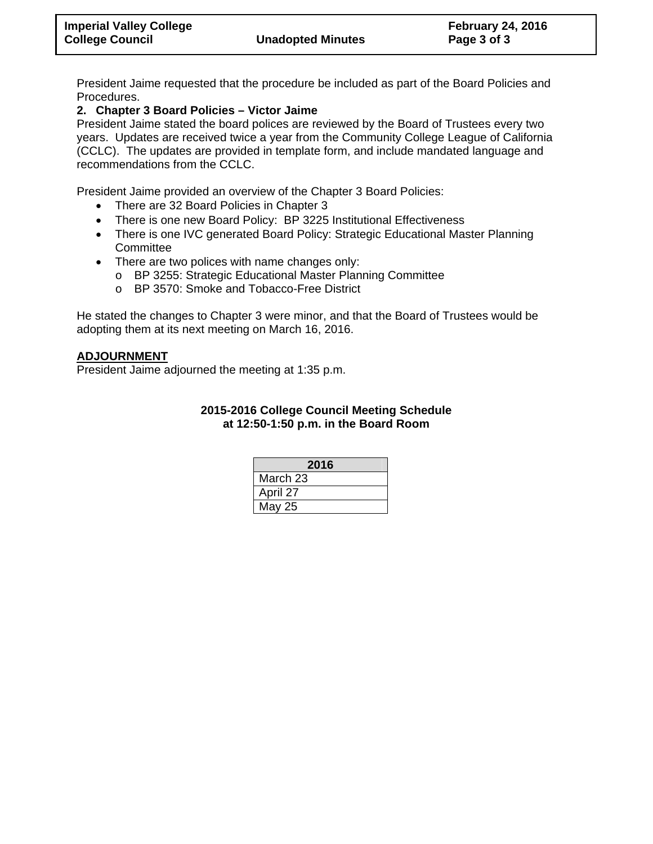President Jaime requested that the procedure be included as part of the Board Policies and Procedures.

#### **2. Chapter 3 Board Policies – Victor Jaime**

President Jaime stated the board polices are reviewed by the Board of Trustees every two years. Updates are received twice a year from the Community College League of California (CCLC). The updates are provided in template form, and include mandated language and recommendations from the CCLC.

President Jaime provided an overview of the Chapter 3 Board Policies:

- There are 32 Board Policies in Chapter 3
- There is one new Board Policy: BP 3225 Institutional Effectiveness
- There is one IVC generated Board Policy: Strategic Educational Master Planning **Committee**
- There are two polices with name changes only:
	- o BP 3255: Strategic Educational Master Planning Committee
	- o BP 3570: Smoke and Tobacco-Free District

He stated the changes to Chapter 3 were minor, and that the Board of Trustees would be adopting them at its next meeting on March 16, 2016.

#### **ADJOURNMENT**

President Jaime adjourned the meeting at 1:35 p.m.

#### **2015-2016 College Council Meeting Schedule at 12:50-1:50 p.m. in the Board Room**

| 2016     |
|----------|
| March 23 |
| April 27 |
| May 25   |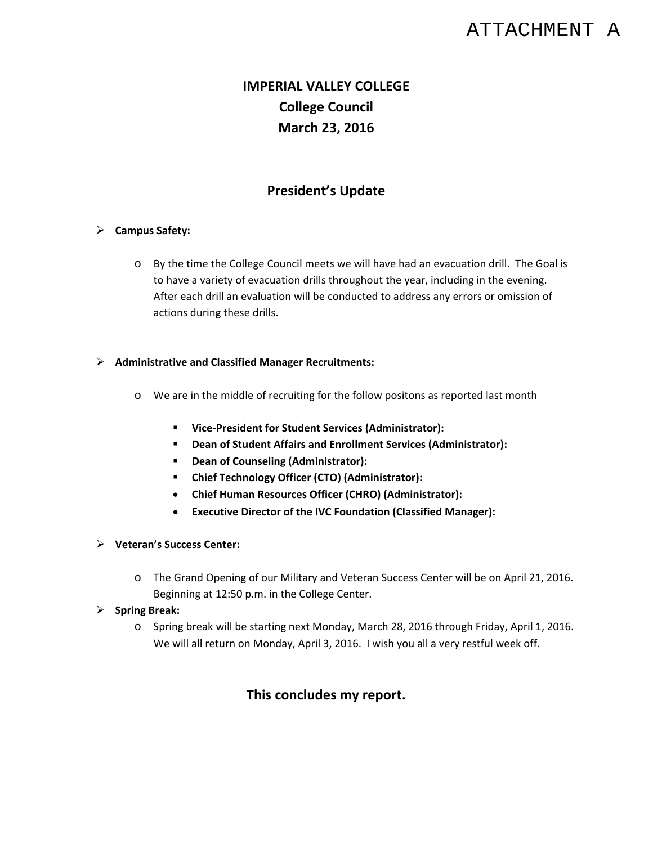# ATTACHMENT A

# **IMPERIAL VALLEY COLLEGE College Council March 23, 2016**

# **President's Update**

#### **Campus Safety:**

o By the time the College Council meets we will have had an evacuation drill. The Goal is to have a variety of evacuation drills throughout the year, including in the evening. After each drill an evaluation will be conducted to address any errors or omission of actions during these drills.

#### **Administrative and Classified Manager Recruitments:**

- o We are in the middle of recruiting for the follow positons as reported last month
	- **Vice‐President for Student Services (Administrator):**
	- **Dean of Student Affairs and Enrollment Services (Administrator):**
	- **Dean of Counseling (Administrator):**
	- **Chief Technology Officer (CTO) (Administrator):**
	- **Chief Human Resources Officer (CHRO) (Administrator):**
	- **Executive Director of the IVC Foundation (Classified Manager):**
- **Veteran's Success Center:**
	- o The Grand Opening of our Military and Veteran Success Center will be on April 21, 2016. Beginning at 12:50 p.m. in the College Center.
- **Spring Break:**
	- o Spring break will be starting next Monday, March 28, 2016 through Friday, April 1, 2016. We will all return on Monday, April 3, 2016. I wish you all a very restful week off.

# **This concludes my report.**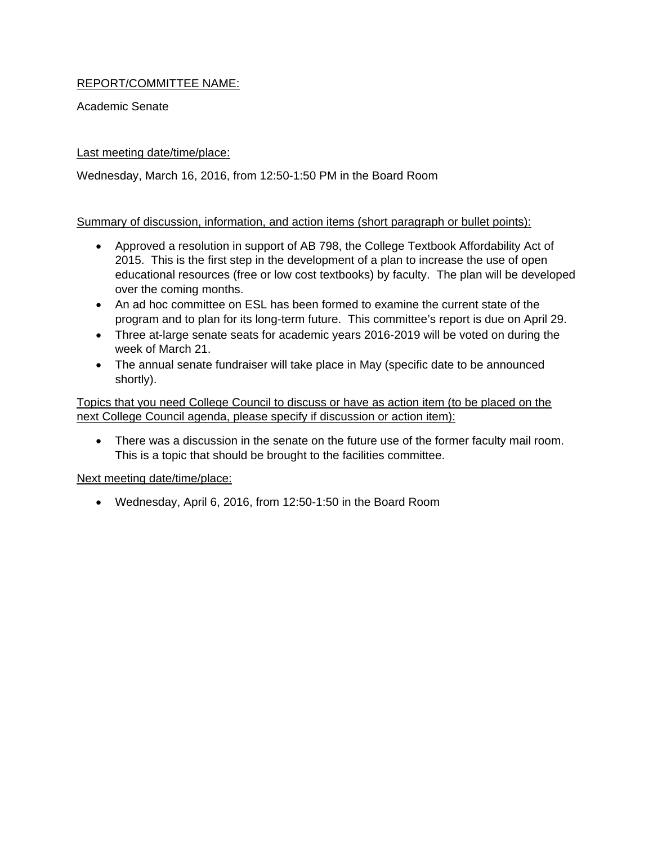### REPORT/COMMITTEE NAME:

Academic Senate

#### Last meeting date/time/place:

Wednesday, March 16, 2016, from 12:50-1:50 PM in the Board Room

#### Summary of discussion, information, and action items (short paragraph or bullet points):

- Approved a resolution in support of AB 798, the College Textbook Affordability Act of 2015. This is the first step in the development of a plan to increase the use of open educational resources (free or low cost textbooks) by faculty. The plan will be developed over the coming months.
- An ad hoc committee on ESL has been formed to examine the current state of the program and to plan for its long-term future. This committee's report is due on April 29.
- Three at-large senate seats for academic years 2016-2019 will be voted on during the week of March 21.
- The annual senate fundraiser will take place in May (specific date to be announced shortly).

Topics that you need College Council to discuss or have as action item (to be placed on the next College Council agenda, please specify if discussion or action item):

 There was a discussion in the senate on the future use of the former faculty mail room. This is a topic that should be brought to the facilities committee.

Next meeting date/time/place:

Wednesday, April 6, 2016, from 12:50-1:50 in the Board Room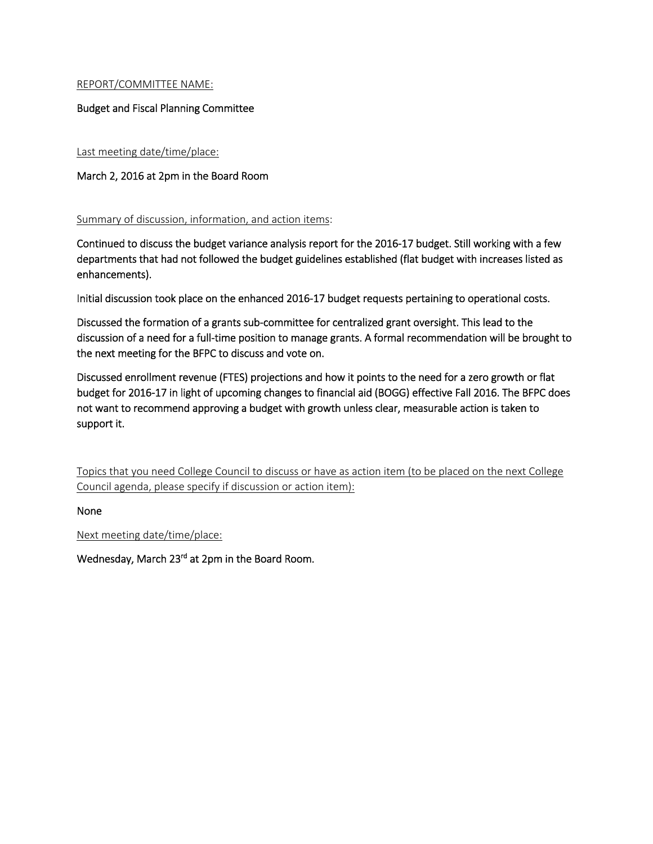#### REPORT/COMMITTEE NAME:

#### Budget and Fiscal Planning Committee

Last meeting date/time/place:

#### March 2, 2016 at 2pm in the Board Room

#### Summary of discussion, information, and action items:

Continued to discuss the budget variance analysis report for the 2016‐17 budget. Still working with a few departments that had not followed the budget guidelines established (flat budget with increases listed as enhancements).

Initial discussion took place on the enhanced 2016‐17 budget requests pertaining to operational costs.

Discussed the formation of a grants sub‐committee for centralized grant oversight. This lead to the discussion of a need for a full‐time position to manage grants. A formal recommendation will be brought to the next meeting for the BFPC to discuss and vote on.

Discussed enrollment revenue (FTES) projections and how it points to the need for a zero growth or flat budget for 2016‐17 in light of upcoming changes to financial aid (BOGG) effective Fall 2016. The BFPC does not want to recommend approving a budget with growth unless clear, measurable action is taken to support it.

Topics that you need College Council to discuss or have as action item (to be placed on the next College Council agenda, please specify if discussion or action item):

None

Next meeting date/time/place:

Wednesday, March 23<sup>rd</sup> at 2pm in the Board Room.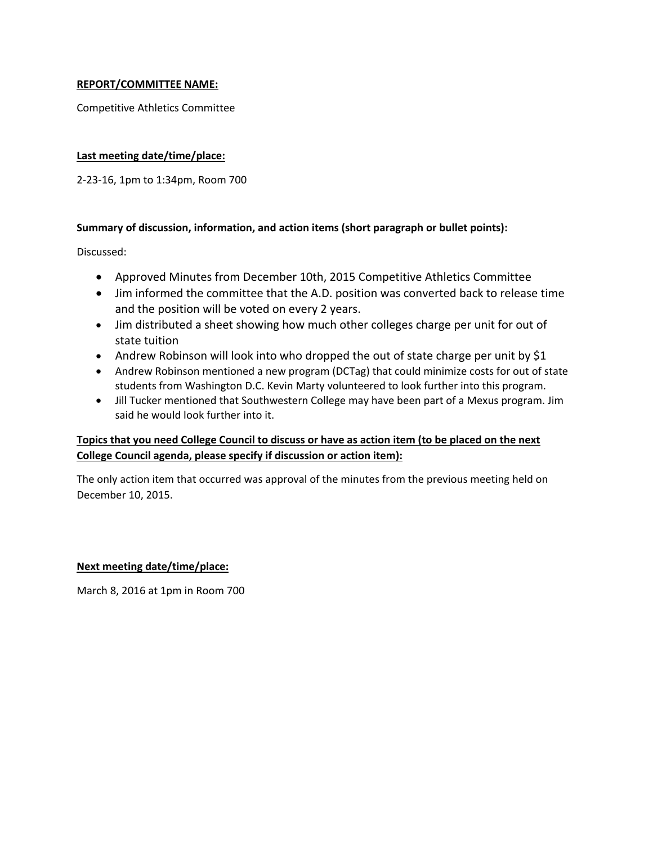#### **REPORT/COMMITTEE NAME:**

Competitive Athletics Committee

#### **Last meeting date/time/place:**

2‐23‐16, 1pm to 1:34pm, Room 700

#### **Summary of discussion, information, and action items (short paragraph or bullet points):**

Discussed:

- Approved Minutes from December 10th, 2015 Competitive Athletics Committee
- Jim informed the committee that the A.D. position was converted back to release time and the position will be voted on every 2 years.
- Jim distributed a sheet showing how much other colleges charge per unit for out of state tuition
- Andrew Robinson will look into who dropped the out of state charge per unit by  $$1$
- Andrew Robinson mentioned a new program (DCTag) that could minimize costs for out of state students from Washington D.C. Kevin Marty volunteered to look further into this program.
- Jill Tucker mentioned that Southwestern College may have been part of a Mexus program. Jim said he would look further into it.

#### Topics that you need College Council to discuss or have as action item (to be placed on the next **College Council agenda, please specify if discussion or action item):**

The only action item that occurred was approval of the minutes from the previous meeting held on December 10, 2015.

#### **Next meeting date/time/place:**

March 8, 2016 at 1pm in Room 700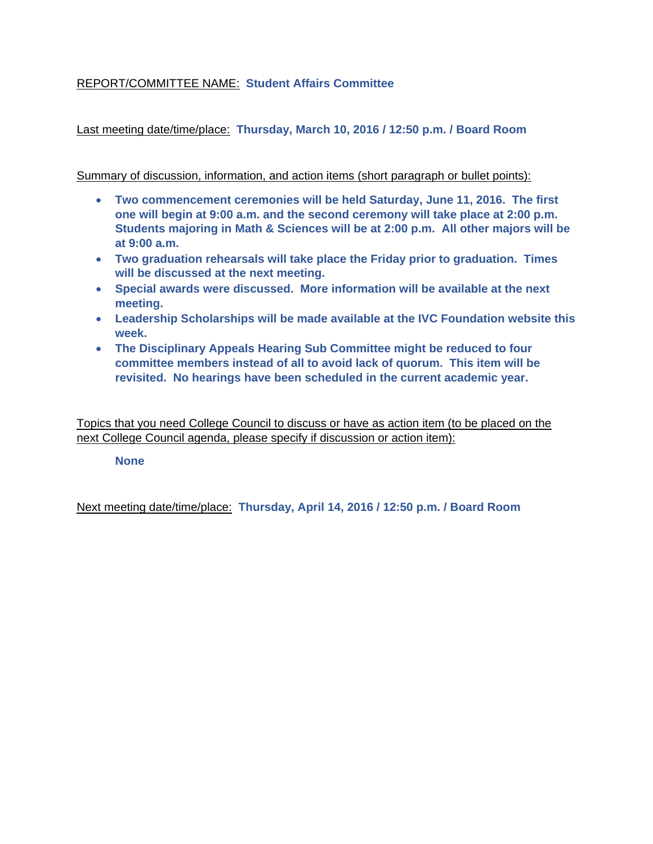### REPORT/COMMITTEE NAME: **Student Affairs Committee**

Last meeting date/time/place: **Thursday, March 10, 2016 / 12:50 p.m. / Board Room**

Summary of discussion, information, and action items (short paragraph or bullet points):

- **Two commencement ceremonies will be held Saturday, June 11, 2016. The first one will begin at 9:00 a.m. and the second ceremony will take place at 2:00 p.m. Students majoring in Math & Sciences will be at 2:00 p.m. All other majors will be at 9:00 a.m.**
- **Two graduation rehearsals will take place the Friday prior to graduation. Times will be discussed at the next meeting.**
- **Special awards were discussed. More information will be available at the next meeting.**
- **Leadership Scholarships will be made available at the IVC Foundation website this week.**
- **The Disciplinary Appeals Hearing Sub Committee might be reduced to four committee members instead of all to avoid lack of quorum. This item will be revisited. No hearings have been scheduled in the current academic year.**

Topics that you need College Council to discuss or have as action item (to be placed on the next College Council agenda, please specify if discussion or action item):

**None** 

Next meeting date/time/place: **Thursday, April 14, 2016 / 12:50 p.m. / Board Room**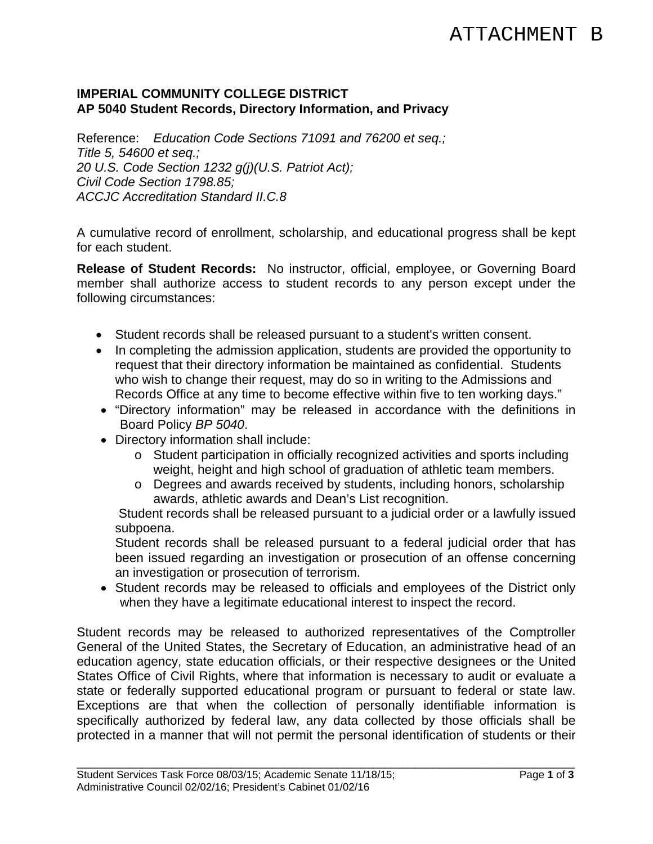### **IMPERIAL COMMUNITY COLLEGE DISTRICT AP 5040 Student Records, Directory Information, and Privacy**

Reference: *Education Code Sections 71091 and 76200 et seq.; Title 5, 54600 et seq.; 20 U.S. Code Section 1232 g(j)(U.S. Patriot Act); Civil Code Section 1798.85; ACCJC Accreditation Standard II.C.8* 

A cumulative record of enrollment, scholarship, and educational progress shall be kept for each student.

**Release of Student Records:** No instructor, official, employee, or Governing Board member shall authorize access to student records to any person except under the following circumstances:

- Student records shall be released pursuant to a student's written consent.
- In completing the admission application, students are provided the opportunity to request that their directory information be maintained as confidential. Students who wish to change their request, may do so in writing to the Admissions and Records Office at any time to become effective within five to ten working days."
- "Directory information" may be released in accordance with the definitions in Board Policy *BP 5040*.
- Directory information shall include:
	- o Student participation in officially recognized activities and sports including weight, height and high school of graduation of athletic team members.
	- o Degrees and awards received by students, including honors, scholarship awards, athletic awards and Dean's List recognition.

Student records shall be released pursuant to a judicial order or a lawfully issued subpoena.

Student records shall be released pursuant to a federal judicial order that has been issued regarding an investigation or prosecution of an offense concerning an investigation or prosecution of terrorism.

 Student records may be released to officials and employees of the District only when they have a legitimate educational interest to inspect the record.

Student records may be released to authorized representatives of the Comptroller General of the United States, the Secretary of Education, an administrative head of an education agency, state education officials, or their respective designees or the United States Office of Civil Rights, where that information is necessary to audit or evaluate a state or federally supported educational program or pursuant to federal or state law. Exceptions are that when the collection of personally identifiable information is specifically authorized by federal law, any data collected by those officials shall be protected in a manner that will not permit the personal identification of students or their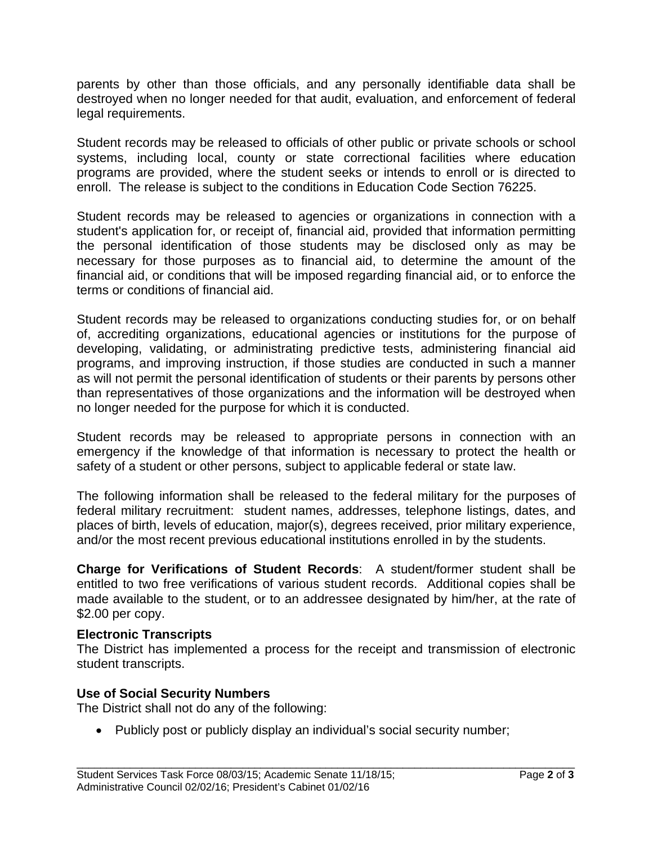parents by other than those officials, and any personally identifiable data shall be destroyed when no longer needed for that audit, evaluation, and enforcement of federal legal requirements.

Student records may be released to officials of other public or private schools or school systems, including local, county or state correctional facilities where education programs are provided, where the student seeks or intends to enroll or is directed to enroll. The release is subject to the conditions in Education Code Section 76225.

Student records may be released to agencies or organizations in connection with a student's application for, or receipt of, financial aid, provided that information permitting the personal identification of those students may be disclosed only as may be necessary for those purposes as to financial aid, to determine the amount of the financial aid, or conditions that will be imposed regarding financial aid, or to enforce the terms or conditions of financial aid.

Student records may be released to organizations conducting studies for, or on behalf of, accrediting organizations, educational agencies or institutions for the purpose of developing, validating, or administrating predictive tests, administering financial aid programs, and improving instruction, if those studies are conducted in such a manner as will not permit the personal identification of students or their parents by persons other than representatives of those organizations and the information will be destroyed when no longer needed for the purpose for which it is conducted.

Student records may be released to appropriate persons in connection with an emergency if the knowledge of that information is necessary to protect the health or safety of a student or other persons, subject to applicable federal or state law.

The following information shall be released to the federal military for the purposes of federal military recruitment: student names, addresses, telephone listings, dates, and places of birth, levels of education, major(s), degrees received, prior military experience, and/or the most recent previous educational institutions enrolled in by the students.

**Charge for Verifications of Student Records**: A student/former student shall be entitled to two free verifications of various student records. Additional copies shall be made available to the student, or to an addressee designated by him/her, at the rate of \$2.00 per copy.

### **Electronic Transcripts**

The District has implemented a process for the receipt and transmission of electronic student transcripts.

\_\_\_\_\_\_\_\_\_\_\_\_\_\_\_\_\_\_\_\_\_\_\_\_\_\_\_\_\_\_\_\_\_\_\_\_\_\_\_\_\_\_\_\_\_\_\_\_\_\_\_\_\_\_\_\_\_\_\_\_\_\_\_\_\_\_\_\_\_\_\_\_\_\_\_\_\_\_\_\_\_\_\_\_

# **Use of Social Security Numbers**

The District shall not do any of the following:

• Publicly post or publicly display an individual's social security number;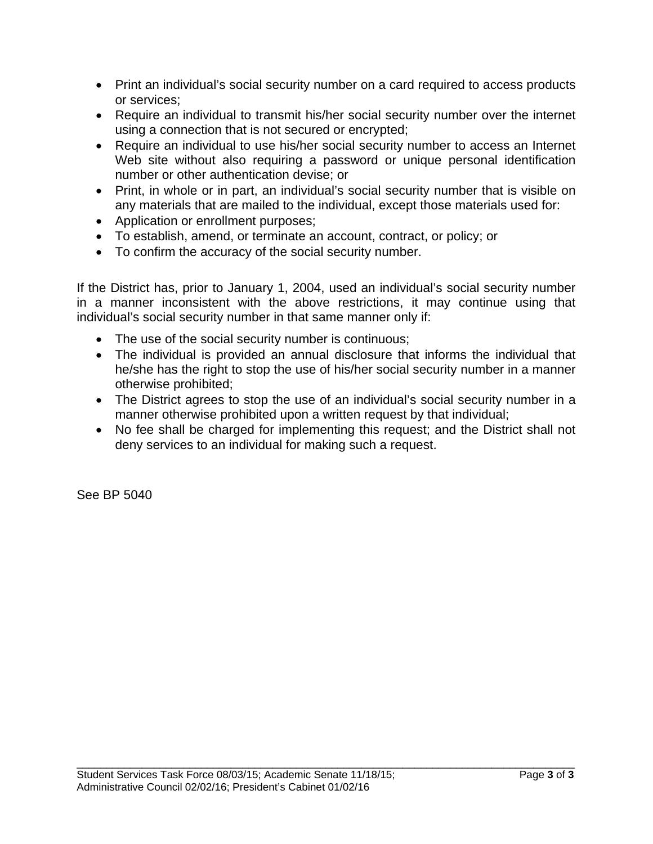- Print an individual's social security number on a card required to access products or services;
- Require an individual to transmit his/her social security number over the internet using a connection that is not secured or encrypted;
- Require an individual to use his/her social security number to access an Internet Web site without also requiring a password or unique personal identification number or other authentication devise; or
- Print, in whole or in part, an individual's social security number that is visible on any materials that are mailed to the individual, except those materials used for:
- Application or enrollment purposes;
- To establish, amend, or terminate an account, contract, or policy; or
- To confirm the accuracy of the social security number.

If the District has, prior to January 1, 2004, used an individual's social security number in a manner inconsistent with the above restrictions, it may continue using that individual's social security number in that same manner only if:

- The use of the social security number is continuous;
- The individual is provided an annual disclosure that informs the individual that he/she has the right to stop the use of his/her social security number in a manner otherwise prohibited;
- The District agrees to stop the use of an individual's social security number in a manner otherwise prohibited upon a written request by that individual;
- No fee shall be charged for implementing this request; and the District shall not deny services to an individual for making such a request.

\_\_\_\_\_\_\_\_\_\_\_\_\_\_\_\_\_\_\_\_\_\_\_\_\_\_\_\_\_\_\_\_\_\_\_\_\_\_\_\_\_\_\_\_\_\_\_\_\_\_\_\_\_\_\_\_\_\_\_\_\_\_\_\_\_\_\_\_\_\_\_\_\_\_\_\_\_\_\_\_\_\_\_\_

See BP 5040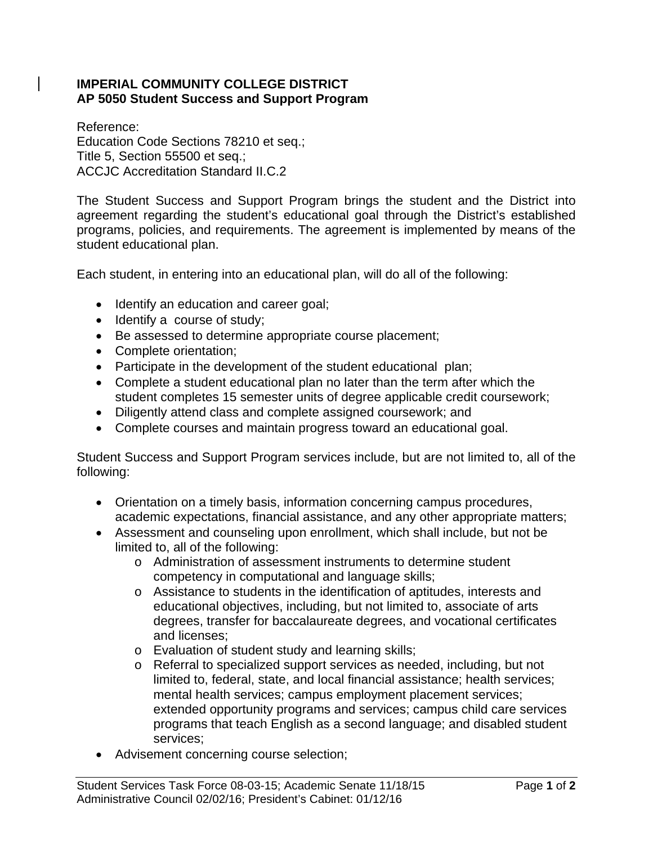### **IMPERIAL COMMUNITY COLLEGE DISTRICT AP 5050 Student Success and Support Program**

Reference: Education Code Sections 78210 et seq.; Title 5, Section 55500 et seq.; ACCJC Accreditation Standard II.C.2

The Student Success and Support Program brings the student and the District into agreement regarding the student's educational goal through the District's established programs, policies, and requirements. The agreement is implemented by means of the student educational plan.

Each student, in entering into an educational plan, will do all of the following:

- Identify an education and career goal;
- Identify a course of study;
- Be assessed to determine appropriate course placement;
- Complete orientation;
- Participate in the development of the student educational plan;
- Complete a student educational plan no later than the term after which the student completes 15 semester units of degree applicable credit coursework;
- Diligently attend class and complete assigned coursework; and
- Complete courses and maintain progress toward an educational goal.

Student Success and Support Program services include, but are not limited to, all of the following:

- Orientation on a timely basis, information concerning campus procedures, academic expectations, financial assistance, and any other appropriate matters;
- Assessment and counseling upon enrollment, which shall include, but not be limited to, all of the following:
	- o Administration of assessment instruments to determine student competency in computational and language skills;
	- o Assistance to students in the identification of aptitudes, interests and educational objectives, including, but not limited to, associate of arts degrees, transfer for baccalaureate degrees, and vocational certificates and licenses;
	- o Evaluation of student study and learning skills;
	- o Referral to specialized support services as needed, including, but not limited to, federal, state, and local financial assistance; health services; mental health services; campus employment placement services; extended opportunity programs and services; campus child care services programs that teach English as a second language; and disabled student services;
- Advisement concerning course selection;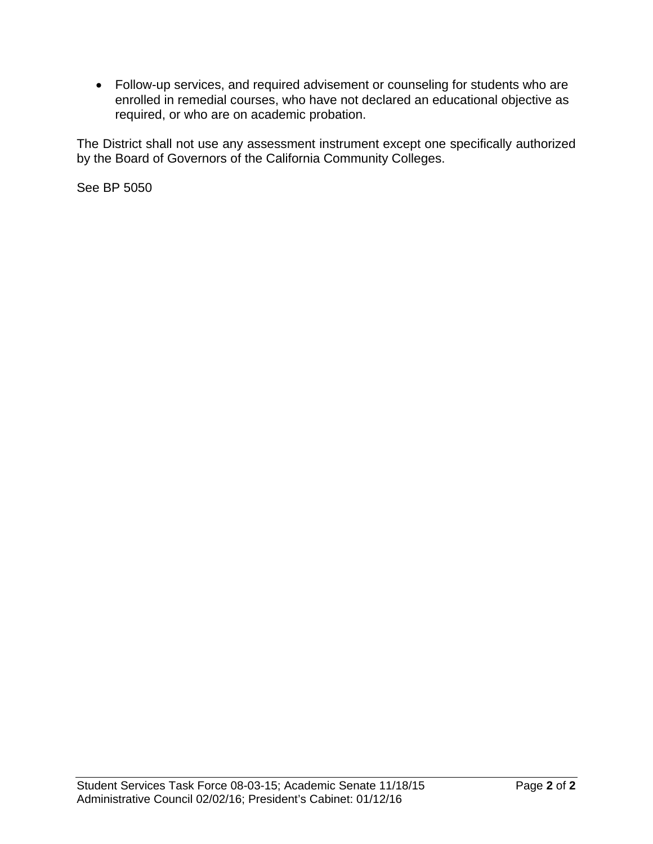Follow-up services, and required advisement or counseling for students who are enrolled in remedial courses, who have not declared an educational objective as required, or who are on academic probation.

The District shall not use any assessment instrument except one specifically authorized by the Board of Governors of the California Community Colleges.

See BP 5050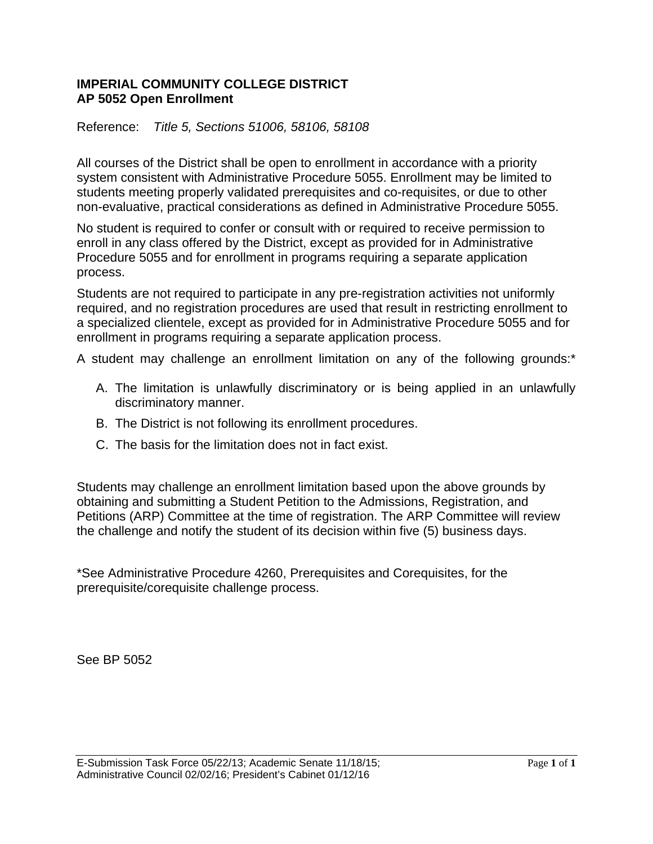### **IMPERIAL COMMUNITY COLLEGE DISTRICT AP 5052 Open Enrollment**

Reference: *Title 5, Sections 51006, 58106, 58108* 

All courses of the District shall be open to enrollment in accordance with a priority system consistent with Administrative Procedure 5055. Enrollment may be limited to students meeting properly validated prerequisites and co-requisites, or due to other non-evaluative, practical considerations as defined in Administrative Procedure 5055.

No student is required to confer or consult with or required to receive permission to enroll in any class offered by the District, except as provided for in Administrative Procedure 5055 and for enrollment in programs requiring a separate application process.

Students are not required to participate in any pre-registration activities not uniformly required, and no registration procedures are used that result in restricting enrollment to a specialized clientele, except as provided for in Administrative Procedure 5055 and for enrollment in programs requiring a separate application process.

A student may challenge an enrollment limitation on any of the following grounds:\*

- A. The limitation is unlawfully discriminatory or is being applied in an unlawfully discriminatory manner.
- B. The District is not following its enrollment procedures.
- C. The basis for the limitation does not in fact exist.

Students may challenge an enrollment limitation based upon the above grounds by obtaining and submitting a Student Petition to the Admissions, Registration, and Petitions (ARP) Committee at the time of registration. The ARP Committee will review the challenge and notify the student of its decision within five (5) business days.

\*See Administrative Procedure 4260, Prerequisites and Corequisites, for the prerequisite/corequisite challenge process.

See BP 5052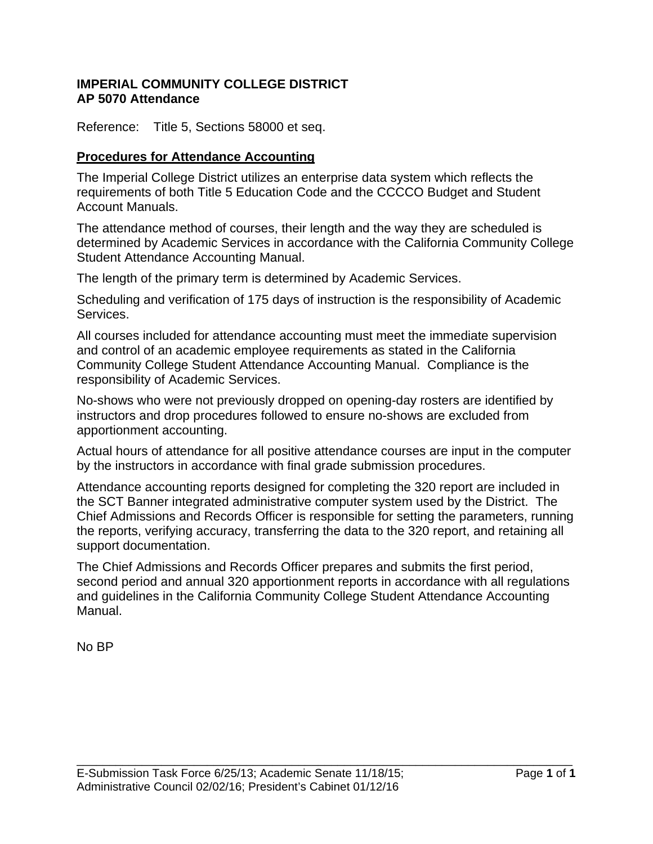### **IMPERIAL COMMUNITY COLLEGE DISTRICT AP 5070 Attendance**

Reference: Title 5, Sections 58000 et seq.

### **Procedures for Attendance Accounting**

The Imperial College District utilizes an enterprise data system which reflects the requirements of both Title 5 Education Code and the CCCCO Budget and Student Account Manuals.

The attendance method of courses, their length and the way they are scheduled is determined by Academic Services in accordance with the California Community College Student Attendance Accounting Manual.

The length of the primary term is determined by Academic Services.

Scheduling and verification of 175 days of instruction is the responsibility of Academic Services.

All courses included for attendance accounting must meet the immediate supervision and control of an academic employee requirements as stated in the California Community College Student Attendance Accounting Manual. Compliance is the responsibility of Academic Services.

No-shows who were not previously dropped on opening-day rosters are identified by instructors and drop procedures followed to ensure no-shows are excluded from apportionment accounting.

Actual hours of attendance for all positive attendance courses are input in the computer by the instructors in accordance with final grade submission procedures.

Attendance accounting reports designed for completing the 320 report are included in the SCT Banner integrated administrative computer system used by the District. The Chief Admissions and Records Officer is responsible for setting the parameters, running the reports, verifying accuracy, transferring the data to the 320 report, and retaining all support documentation.

The Chief Admissions and Records Officer prepares and submits the first period, second period and annual 320 apportionment reports in accordance with all regulations and guidelines in the California Community College Student Attendance Accounting Manual.

\_\_\_\_\_\_\_\_\_\_\_\_\_\_\_\_\_\_\_\_\_\_\_\_\_\_\_\_\_\_\_\_\_\_\_\_\_\_\_\_\_\_\_\_\_\_\_\_\_\_\_\_\_\_\_\_\_\_\_\_\_\_\_\_\_\_\_\_\_\_\_\_\_\_\_\_

No BP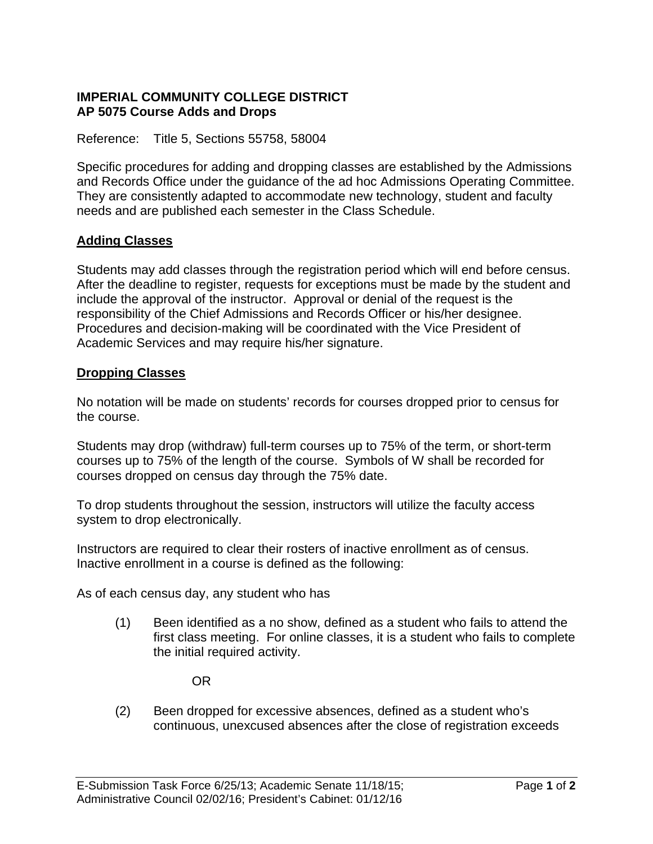### **IMPERIAL COMMUNITY COLLEGE DISTRICT AP 5075 Course Adds and Drops**

Reference: Title 5, Sections 55758, 58004

Specific procedures for adding and dropping classes are established by the Admissions and Records Office under the guidance of the ad hoc Admissions Operating Committee. They are consistently adapted to accommodate new technology, student and faculty needs and are published each semester in the Class Schedule.

# **Adding Classes**

Students may add classes through the registration period which will end before census. After the deadline to register, requests for exceptions must be made by the student and include the approval of the instructor. Approval or denial of the request is the responsibility of the Chief Admissions and Records Officer or his/her designee. Procedures and decision-making will be coordinated with the Vice President of Academic Services and may require his/her signature.

### **Dropping Classes**

No notation will be made on students' records for courses dropped prior to census for the course.

Students may drop (withdraw) full-term courses up to 75% of the term, or short-term courses up to 75% of the length of the course. Symbols of W shall be recorded for courses dropped on census day through the 75% date.

To drop students throughout the session, instructors will utilize the faculty access system to drop electronically.

Instructors are required to clear their rosters of inactive enrollment as of census. Inactive enrollment in a course is defined as the following:

As of each census day, any student who has

(1) Been identified as a no show, defined as a student who fails to attend the first class meeting. For online classes, it is a student who fails to complete the initial required activity.

OR

(2) Been dropped for excessive absences, defined as a student who's continuous, unexcused absences after the close of registration exceeds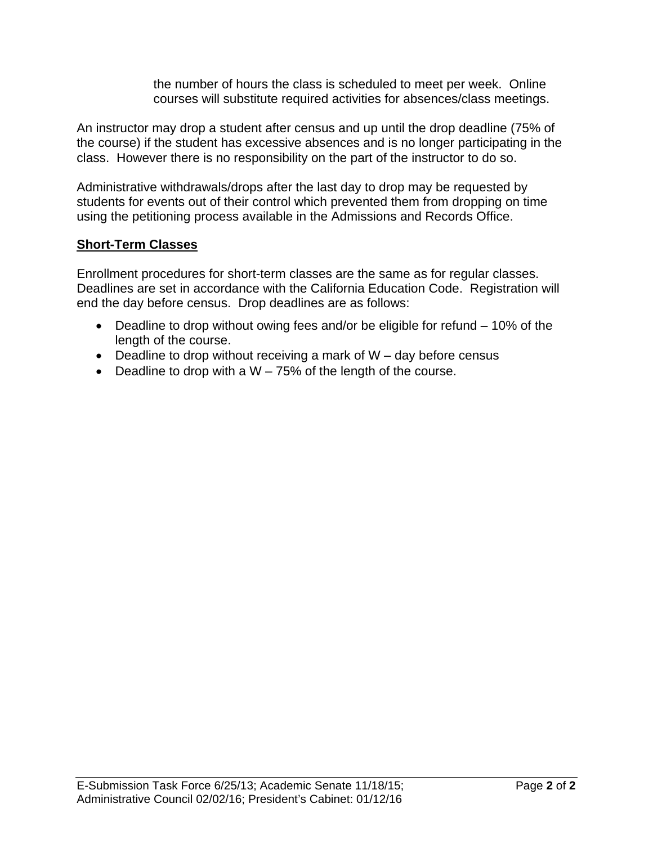the number of hours the class is scheduled to meet per week. Online courses will substitute required activities for absences/class meetings.

An instructor may drop a student after census and up until the drop deadline (75% of the course) if the student has excessive absences and is no longer participating in the class. However there is no responsibility on the part of the instructor to do so.

Administrative withdrawals/drops after the last day to drop may be requested by students for events out of their control which prevented them from dropping on time using the petitioning process available in the Admissions and Records Office.

# **Short-Term Classes**

Enrollment procedures for short-term classes are the same as for regular classes. Deadlines are set in accordance with the California Education Code. Registration will end the day before census. Drop deadlines are as follows:

- Deadline to drop without owing fees and/or be eligible for refund 10% of the length of the course.
- $\bullet$  Deadline to drop without receiving a mark of W day before census
- Deadline to drop with a  $W 75%$  of the length of the course.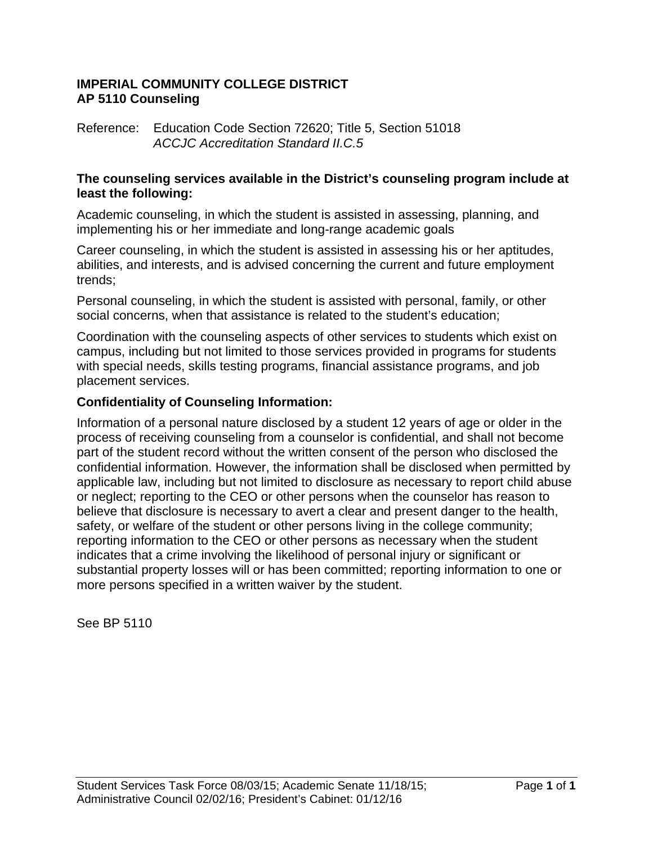### **IMPERIAL COMMUNITY COLLEGE DISTRICT AP 5110 Counseling**

Reference: Education Code Section 72620; Title 5, Section 51018  *ACCJC Accreditation Standard II.C.5* 

### **The counseling services available in the District's counseling program include at least the following:**

Academic counseling, in which the student is assisted in assessing, planning, and implementing his or her immediate and long-range academic goals

Career counseling, in which the student is assisted in assessing his or her aptitudes, abilities, and interests, and is advised concerning the current and future employment trends;

Personal counseling, in which the student is assisted with personal, family, or other social concerns, when that assistance is related to the student's education;

Coordination with the counseling aspects of other services to students which exist on campus, including but not limited to those services provided in programs for students with special needs, skills testing programs, financial assistance programs, and job placement services.

# **Confidentiality of Counseling Information:**

Information of a personal nature disclosed by a student 12 years of age or older in the process of receiving counseling from a counselor is confidential, and shall not become part of the student record without the written consent of the person who disclosed the confidential information. However, the information shall be disclosed when permitted by applicable law, including but not limited to disclosure as necessary to report child abuse or neglect; reporting to the CEO or other persons when the counselor has reason to believe that disclosure is necessary to avert a clear and present danger to the health, safety, or welfare of the student or other persons living in the college community; reporting information to the CEO or other persons as necessary when the student indicates that a crime involving the likelihood of personal injury or significant or substantial property losses will or has been committed; reporting information to one or more persons specified in a written waiver by the student.

See BP 5110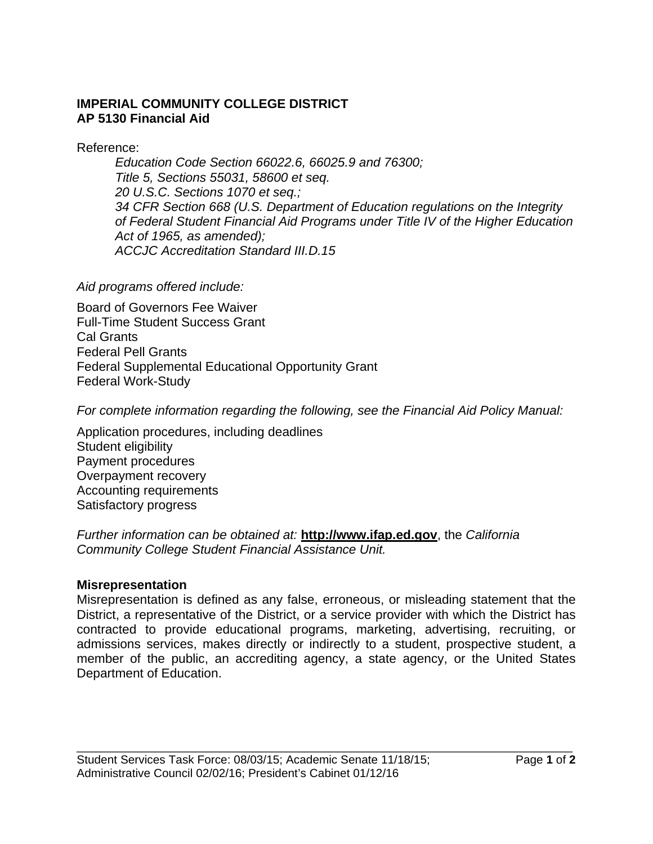# **IMPERIAL COMMUNITY COLLEGE DISTRICT AP 5130 Financial Aid**

Reference:

*Education Code Section 66022.6, 66025.9 and 76300; Title 5, Sections 55031, 58600 et seq. 20 U.S.C. Sections 1070 et seq.; 34 CFR Section 668 (U.S. Department of Education regulations on the Integrity of Federal Student Financial Aid Programs under Title IV of the Higher Education Act of 1965, as amended); ACCJC Accreditation Standard III.D.15* 

*Aid programs offered include:* 

Board of Governors Fee Waiver Full-Time Student Success Grant Cal Grants Federal Pell Grants Federal Supplemental Educational Opportunity Grant Federal Work-Study

*For complete information regarding the following, see the Financial Aid Policy Manual:* 

Application procedures, including deadlines Student eligibility Payment procedures Overpayment recovery Accounting requirements Satisfactory progress

# *Further information can be obtained at:* **http://www.ifap.ed.gov**, the *California Community College Student Financial Assistance Unit.*

# **Misrepresentation**

Misrepresentation is defined as any false, erroneous, or misleading statement that the District, a representative of the District, or a service provider with which the District has contracted to provide educational programs, marketing, advertising, recruiting, or admissions services, makes directly or indirectly to a student, prospective student, a member of the public, an accrediting agency, a state agency, or the United States Department of Education.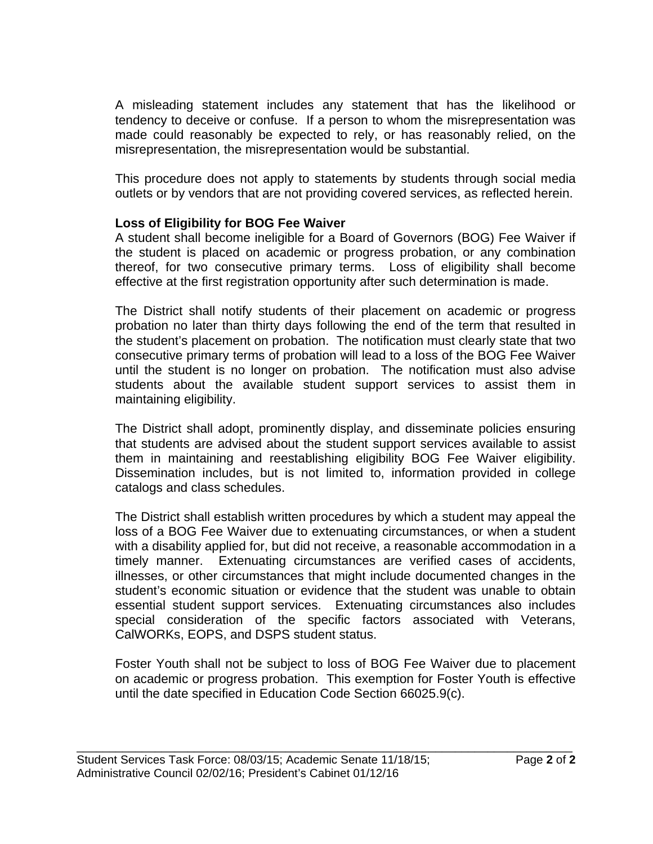A misleading statement includes any statement that has the likelihood or tendency to deceive or confuse. If a person to whom the misrepresentation was made could reasonably be expected to rely, or has reasonably relied, on the misrepresentation, the misrepresentation would be substantial.

This procedure does not apply to statements by students through social media outlets or by vendors that are not providing covered services, as reflected herein.

# **Loss of Eligibility for BOG Fee Waiver**

A student shall become ineligible for a Board of Governors (BOG) Fee Waiver if the student is placed on academic or progress probation, or any combination thereof, for two consecutive primary terms. Loss of eligibility shall become effective at the first registration opportunity after such determination is made.

The District shall notify students of their placement on academic or progress probation no later than thirty days following the end of the term that resulted in the student's placement on probation. The notification must clearly state that two consecutive primary terms of probation will lead to a loss of the BOG Fee Waiver until the student is no longer on probation. The notification must also advise students about the available student support services to assist them in maintaining eligibility.

The District shall adopt, prominently display, and disseminate policies ensuring that students are advised about the student support services available to assist them in maintaining and reestablishing eligibility BOG Fee Waiver eligibility. Dissemination includes, but is not limited to, information provided in college catalogs and class schedules.

The District shall establish written procedures by which a student may appeal the loss of a BOG Fee Waiver due to extenuating circumstances, or when a student with a disability applied for, but did not receive, a reasonable accommodation in a timely manner. Extenuating circumstances are verified cases of accidents, illnesses, or other circumstances that might include documented changes in the student's economic situation or evidence that the student was unable to obtain essential student support services. Extenuating circumstances also includes special consideration of the specific factors associated with Veterans, CalWORKs, EOPS, and DSPS student status.

Foster Youth shall not be subject to loss of BOG Fee Waiver due to placement on academic or progress probation. This exemption for Foster Youth is effective until the date specified in Education Code Section 66025.9(c).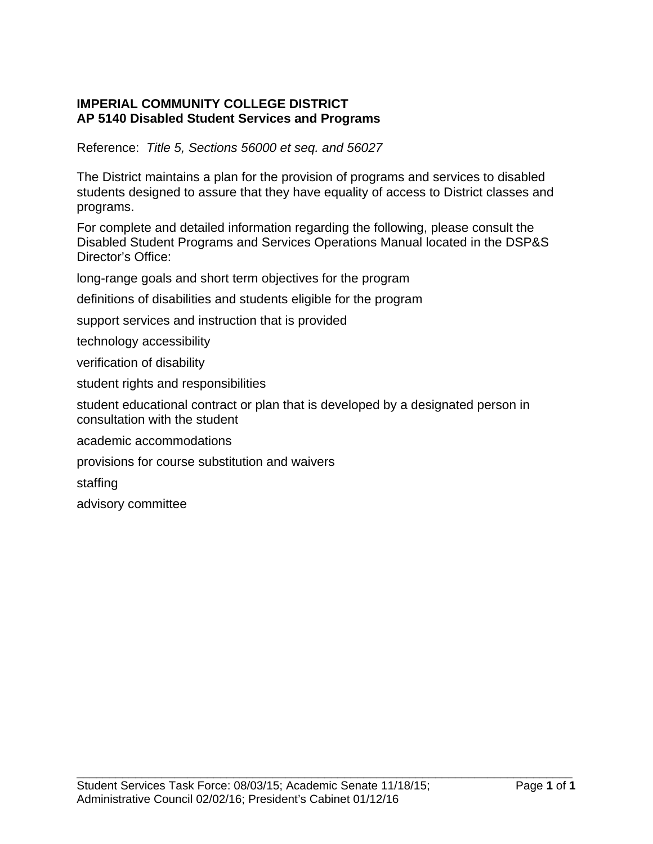### **IMPERIAL COMMUNITY COLLEGE DISTRICT AP 5140 Disabled Student Services and Programs**

Reference: *Title 5, Sections 56000 et seq. and 56027*

The District maintains a plan for the provision of programs and services to disabled students designed to assure that they have equality of access to District classes and programs.

For complete and detailed information regarding the following, please consult the Disabled Student Programs and Services Operations Manual located in the DSP&S Director's Office:

long-range goals and short term objectives for the program

definitions of disabilities and students eligible for the program

support services and instruction that is provided

technology accessibility

verification of disability

student rights and responsibilities

student educational contract or plan that is developed by a designated person in consultation with the student

academic accommodations

provisions for course substitution and waivers

staffing

advisory committee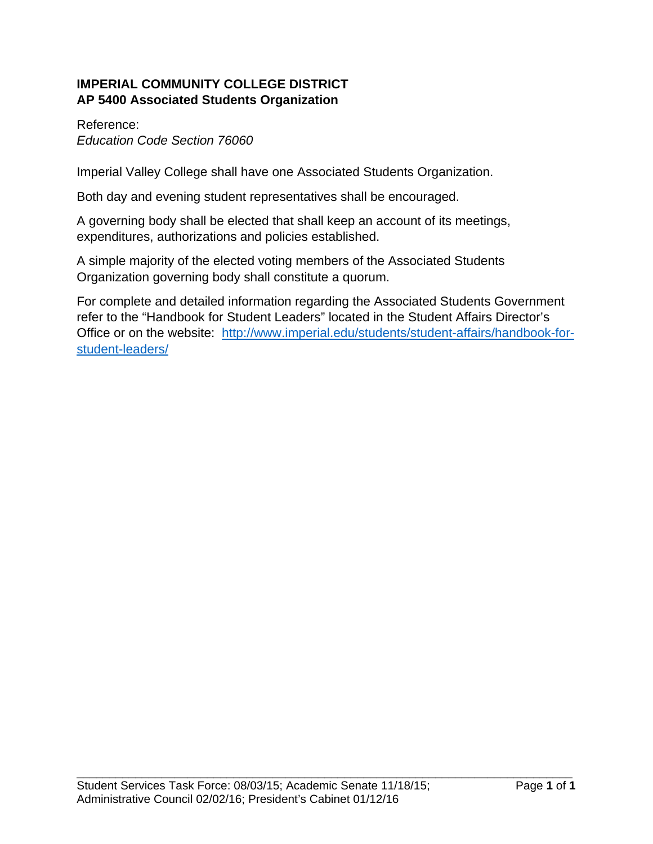# **IMPERIAL COMMUNITY COLLEGE DISTRICT AP 5400 Associated Students Organization**

# Reference:

*Education Code Section 76060* 

Imperial Valley College shall have one Associated Students Organization.

Both day and evening student representatives shall be encouraged.

A governing body shall be elected that shall keep an account of its meetings, expenditures, authorizations and policies established.

A simple majority of the elected voting members of the Associated Students Organization governing body shall constitute a quorum.

For complete and detailed information regarding the Associated Students Government refer to the "Handbook for Student Leaders" located in the Student Affairs Director's Office or on the website: http://www.imperial.edu/students/student-affairs/handbook-forstudent-leaders/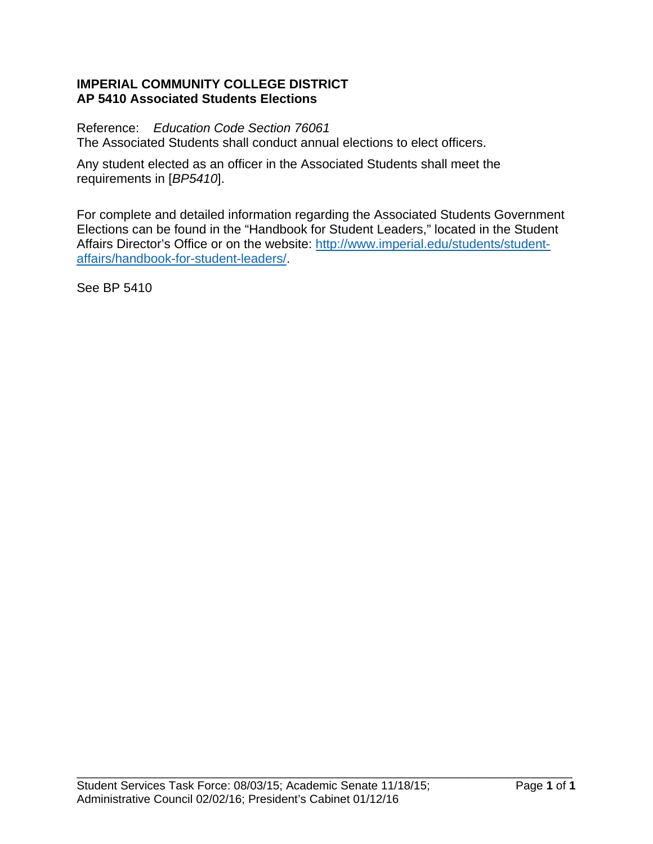### **IMPERIAL COMMUNITY COLLEGE DISTRICT AP 5410 Associated Students Elections**

Reference: *Education Code Section 76061*  The Associated Students shall conduct annual elections to elect officers.

Any student elected as an officer in the Associated Students shall meet the requirements in [*BP5410*].

For complete and detailed information regarding the Associated Students Government Elections can be found in the "Handbook for Student Leaders," located in the Student Affairs Director's Office or on the website: http://www.imperial.edu/students/studentaffairs/handbook-for-student-leaders/.

See BP 5410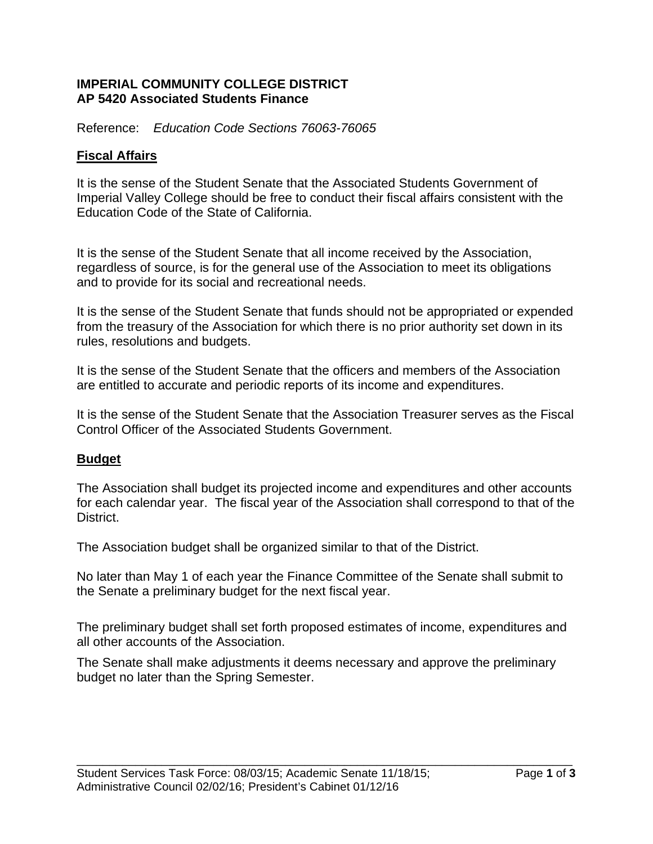### **IMPERIAL COMMUNITY COLLEGE DISTRICT AP 5420 Associated Students Finance**

Reference: *Education Code Sections 76063-76065* 

# **Fiscal Affairs**

It is the sense of the Student Senate that the Associated Students Government of Imperial Valley College should be free to conduct their fiscal affairs consistent with the Education Code of the State of California.

It is the sense of the Student Senate that all income received by the Association, regardless of source, is for the general use of the Association to meet its obligations and to provide for its social and recreational needs.

It is the sense of the Student Senate that funds should not be appropriated or expended from the treasury of the Association for which there is no prior authority set down in its rules, resolutions and budgets.

It is the sense of the Student Senate that the officers and members of the Association are entitled to accurate and periodic reports of its income and expenditures.

It is the sense of the Student Senate that the Association Treasurer serves as the Fiscal Control Officer of the Associated Students Government.

# **Budget**

The Association shall budget its projected income and expenditures and other accounts for each calendar year. The fiscal year of the Association shall correspond to that of the District.

The Association budget shall be organized similar to that of the District.

No later than May 1 of each year the Finance Committee of the Senate shall submit to the Senate a preliminary budget for the next fiscal year.

The preliminary budget shall set forth proposed estimates of income, expenditures and all other accounts of the Association.

The Senate shall make adjustments it deems necessary and approve the preliminary budget no later than the Spring Semester.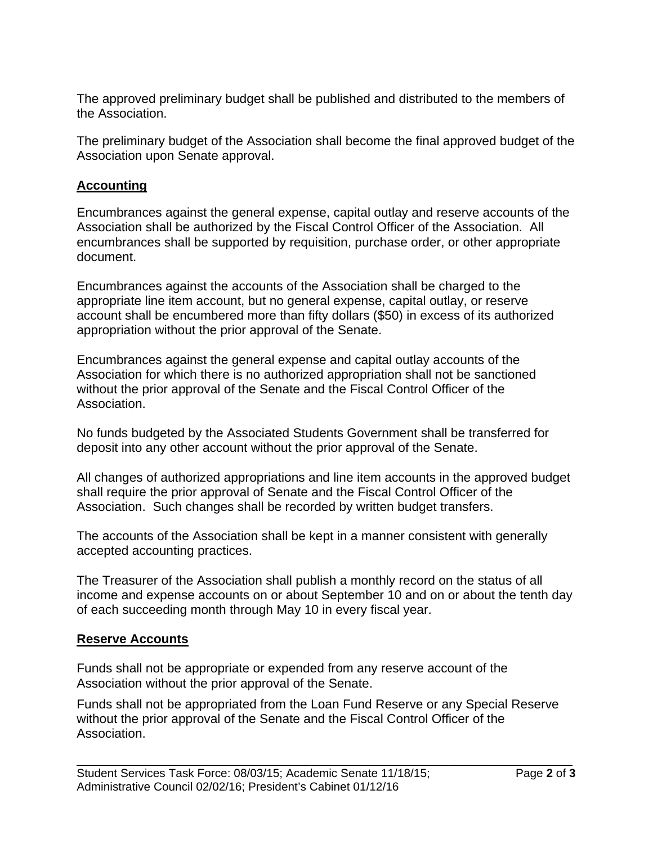The approved preliminary budget shall be published and distributed to the members of the Association.

The preliminary budget of the Association shall become the final approved budget of the Association upon Senate approval.

# **Accounting**

Encumbrances against the general expense, capital outlay and reserve accounts of the Association shall be authorized by the Fiscal Control Officer of the Association. All encumbrances shall be supported by requisition, purchase order, or other appropriate document.

Encumbrances against the accounts of the Association shall be charged to the appropriate line item account, but no general expense, capital outlay, or reserve account shall be encumbered more than fifty dollars (\$50) in excess of its authorized appropriation without the prior approval of the Senate.

Encumbrances against the general expense and capital outlay accounts of the Association for which there is no authorized appropriation shall not be sanctioned without the prior approval of the Senate and the Fiscal Control Officer of the Association.

No funds budgeted by the Associated Students Government shall be transferred for deposit into any other account without the prior approval of the Senate.

All changes of authorized appropriations and line item accounts in the approved budget shall require the prior approval of Senate and the Fiscal Control Officer of the Association. Such changes shall be recorded by written budget transfers.

The accounts of the Association shall be kept in a manner consistent with generally accepted accounting practices.

The Treasurer of the Association shall publish a monthly record on the status of all income and expense accounts on or about September 10 and on or about the tenth day of each succeeding month through May 10 in every fiscal year.

# **Reserve Accounts**

Funds shall not be appropriate or expended from any reserve account of the Association without the prior approval of the Senate.

Funds shall not be appropriated from the Loan Fund Reserve or any Special Reserve without the prior approval of the Senate and the Fiscal Control Officer of the Association.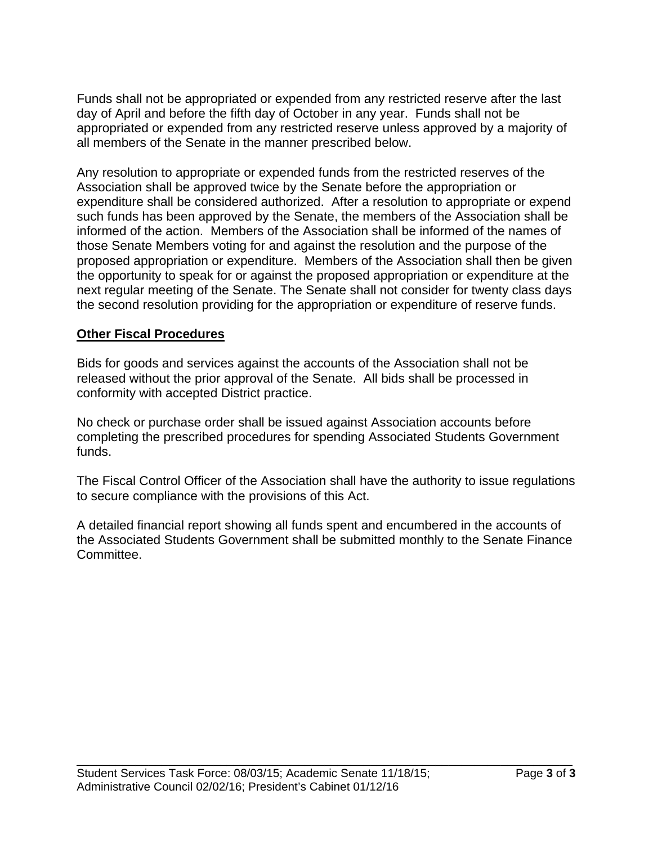Funds shall not be appropriated or expended from any restricted reserve after the last day of April and before the fifth day of October in any year. Funds shall not be appropriated or expended from any restricted reserve unless approved by a majority of all members of the Senate in the manner prescribed below.

Any resolution to appropriate or expended funds from the restricted reserves of the Association shall be approved twice by the Senate before the appropriation or expenditure shall be considered authorized. After a resolution to appropriate or expend such funds has been approved by the Senate, the members of the Association shall be informed of the action. Members of the Association shall be informed of the names of those Senate Members voting for and against the resolution and the purpose of the proposed appropriation or expenditure. Members of the Association shall then be given the opportunity to speak for or against the proposed appropriation or expenditure at the next regular meeting of the Senate. The Senate shall not consider for twenty class days the second resolution providing for the appropriation or expenditure of reserve funds.

### **Other Fiscal Procedures**

Bids for goods and services against the accounts of the Association shall not be released without the prior approval of the Senate. All bids shall be processed in conformity with accepted District practice.

No check or purchase order shall be issued against Association accounts before completing the prescribed procedures for spending Associated Students Government funds.

The Fiscal Control Officer of the Association shall have the authority to issue regulations to secure compliance with the provisions of this Act.

A detailed financial report showing all funds spent and encumbered in the accounts of the Associated Students Government shall be submitted monthly to the Senate Finance Committee.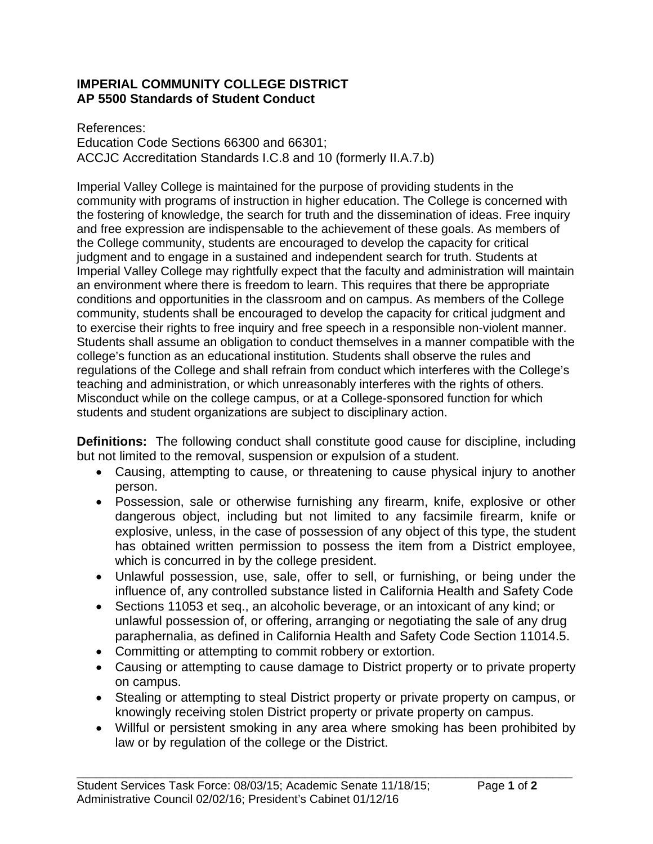### **IMPERIAL COMMUNITY COLLEGE DISTRICT AP 5500 Standards of Student Conduct**

References: Education Code Sections 66300 and 66301; ACCJC Accreditation Standards I.C.8 and 10 (formerly II.A.7.b)

Imperial Valley College is maintained for the purpose of providing students in the community with programs of instruction in higher education. The College is concerned with the fostering of knowledge, the search for truth and the dissemination of ideas. Free inquiry and free expression are indispensable to the achievement of these goals. As members of the College community, students are encouraged to develop the capacity for critical judgment and to engage in a sustained and independent search for truth. Students at Imperial Valley College may rightfully expect that the faculty and administration will maintain an environment where there is freedom to learn. This requires that there be appropriate conditions and opportunities in the classroom and on campus. As members of the College community, students shall be encouraged to develop the capacity for critical judgment and to exercise their rights to free inquiry and free speech in a responsible non-violent manner. Students shall assume an obligation to conduct themselves in a manner compatible with the college's function as an educational institution. Students shall observe the rules and regulations of the College and shall refrain from conduct which interferes with the College's teaching and administration, or which unreasonably interferes with the rights of others. Misconduct while on the college campus, or at a College-sponsored function for which students and student organizations are subject to disciplinary action.

**Definitions:** The following conduct shall constitute good cause for discipline, including but not limited to the removal, suspension or expulsion of a student.

- Causing, attempting to cause, or threatening to cause physical injury to another person.
- Possession, sale or otherwise furnishing any firearm, knife, explosive or other dangerous object, including but not limited to any facsimile firearm, knife or explosive, unless, in the case of possession of any object of this type, the student has obtained written permission to possess the item from a District employee, which is concurred in by the college president.
- Unlawful possession, use, sale, offer to sell, or furnishing, or being under the influence of, any controlled substance listed in California Health and Safety Code
- Sections 11053 et seq., an alcoholic beverage, or an intoxicant of any kind; or unlawful possession of, or offering, arranging or negotiating the sale of any drug paraphernalia, as defined in California Health and Safety Code Section 11014.5.
- Committing or attempting to commit robbery or extortion.
- Causing or attempting to cause damage to District property or to private property on campus.
- Stealing or attempting to steal District property or private property on campus, or knowingly receiving stolen District property or private property on campus.
- Willful or persistent smoking in any area where smoking has been prohibited by law or by regulation of the college or the District.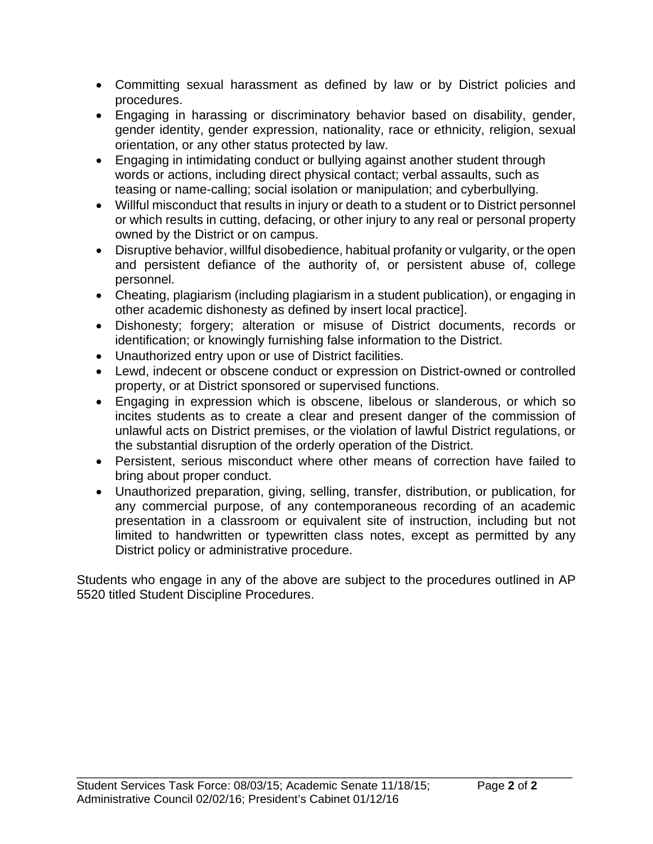- Committing sexual harassment as defined by law or by District policies and procedures.
- Engaging in harassing or discriminatory behavior based on disability, gender, gender identity, gender expression, nationality, race or ethnicity, religion, sexual orientation, or any other status protected by law.
- Engaging in intimidating conduct or bullying against another student through words or actions, including direct physical contact; verbal assaults, such as teasing or name-calling; social isolation or manipulation; and cyberbullying.
- Willful misconduct that results in injury or death to a student or to District personnel or which results in cutting, defacing, or other injury to any real or personal property owned by the District or on campus.
- Disruptive behavior, willful disobedience, habitual profanity or vulgarity, or the open and persistent defiance of the authority of, or persistent abuse of, college personnel.
- Cheating, plagiarism (including plagiarism in a student publication), or engaging in other academic dishonesty as defined by insert local practice].
- Dishonesty; forgery; alteration or misuse of District documents, records or identification; or knowingly furnishing false information to the District.
- Unauthorized entry upon or use of District facilities.
- Lewd, indecent or obscene conduct or expression on District-owned or controlled property, or at District sponsored or supervised functions.
- Engaging in expression which is obscene, libelous or slanderous, or which so incites students as to create a clear and present danger of the commission of unlawful acts on District premises, or the violation of lawful District regulations, or the substantial disruption of the orderly operation of the District.
- Persistent, serious misconduct where other means of correction have failed to bring about proper conduct.
- Unauthorized preparation, giving, selling, transfer, distribution, or publication, for any commercial purpose, of any contemporaneous recording of an academic presentation in a classroom or equivalent site of instruction, including but not limited to handwritten or typewritten class notes, except as permitted by any District policy or administrative procedure.

Students who engage in any of the above are subject to the procedures outlined in AP 5520 titled Student Discipline Procedures.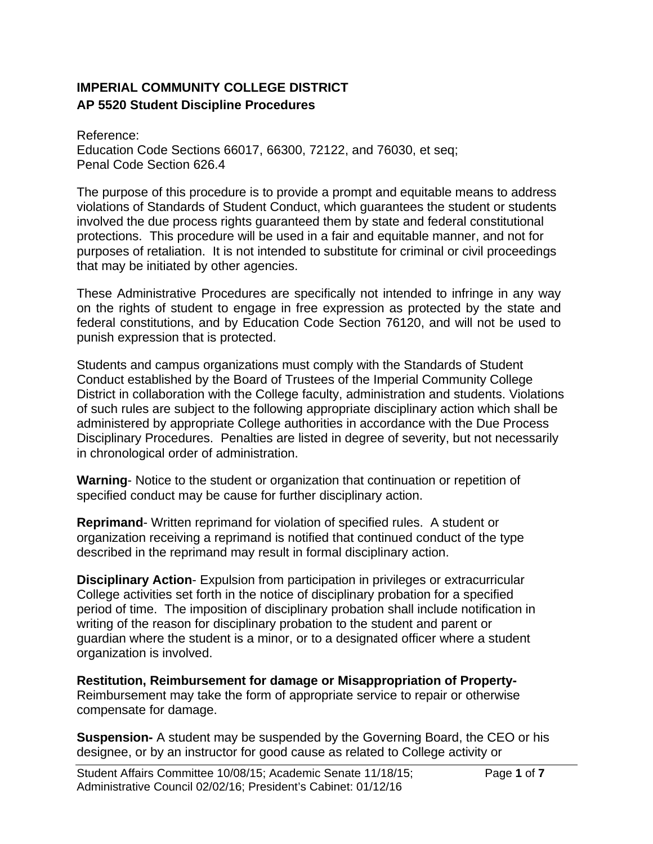# **IMPERIAL COMMUNITY COLLEGE DISTRICT AP 5520 Student Discipline Procedures**

Reference: Education Code Sections 66017, 66300, 72122, and 76030, et seq; Penal Code Section 626.4

The purpose of this procedure is to provide a prompt and equitable means to address violations of Standards of Student Conduct, which guarantees the student or students involved the due process rights guaranteed them by state and federal constitutional protections. This procedure will be used in a fair and equitable manner, and not for purposes of retaliation. It is not intended to substitute for criminal or civil proceedings that may be initiated by other agencies.

These Administrative Procedures are specifically not intended to infringe in any way on the rights of student to engage in free expression as protected by the state and federal constitutions, and by Education Code Section 76120, and will not be used to punish expression that is protected.

Students and campus organizations must comply with the Standards of Student Conduct established by the Board of Trustees of the Imperial Community College District in collaboration with the College faculty, administration and students. Violations of such rules are subject to the following appropriate disciplinary action which shall be administered by appropriate College authorities in accordance with the Due Process Disciplinary Procedures. Penalties are listed in degree of severity, but not necessarily in chronological order of administration.

**Warning**- Notice to the student or organization that continuation or repetition of specified conduct may be cause for further disciplinary action.

**Reprimand**- Written reprimand for violation of specified rules. A student or organization receiving a reprimand is notified that continued conduct of the type described in the reprimand may result in formal disciplinary action.

**Disciplinary Action**- Expulsion from participation in privileges or extracurricular College activities set forth in the notice of disciplinary probation for a specified period of time. The imposition of disciplinary probation shall include notification in writing of the reason for disciplinary probation to the student and parent or guardian where the student is a minor, or to a designated officer where a student organization is involved.

**Restitution, Reimbursement for damage or Misappropriation of Property-**Reimbursement may take the form of appropriate service to repair or otherwise compensate for damage.

**Suspension-** A student may be suspended by the Governing Board, the CEO or his designee, or by an instructor for good cause as related to College activity or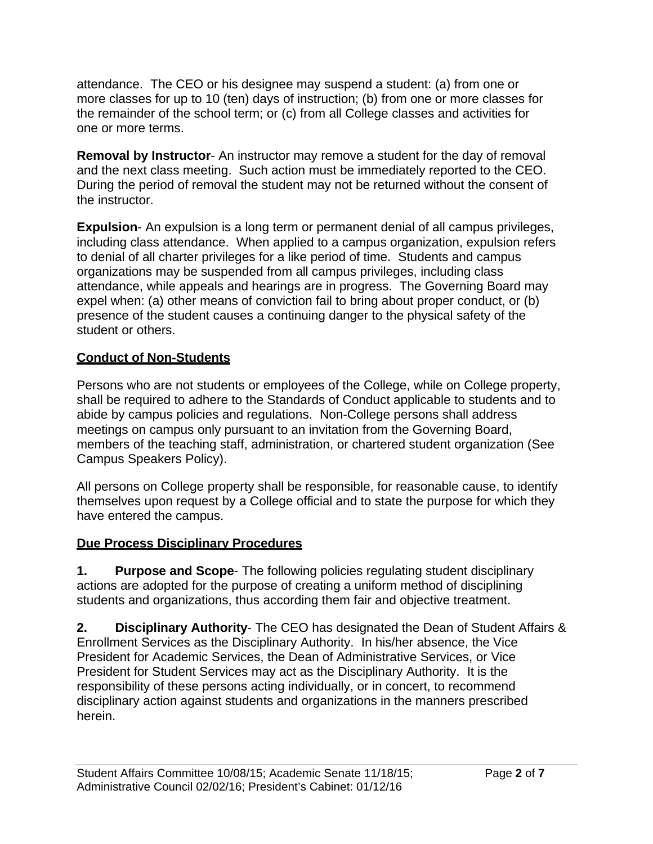attendance. The CEO or his designee may suspend a student: (a) from one or more classes for up to 10 (ten) days of instruction; (b) from one or more classes for the remainder of the school term; or (c) from all College classes and activities for one or more terms.

**Removal by Instructor**- An instructor may remove a student for the day of removal and the next class meeting. Such action must be immediately reported to the CEO. During the period of removal the student may not be returned without the consent of the instructor.

**Expulsion**- An expulsion is a long term or permanent denial of all campus privileges, including class attendance. When applied to a campus organization, expulsion refers to denial of all charter privileges for a like period of time. Students and campus organizations may be suspended from all campus privileges, including class attendance, while appeals and hearings are in progress. The Governing Board may expel when: (a) other means of conviction fail to bring about proper conduct, or (b) presence of the student causes a continuing danger to the physical safety of the student or others.

# **Conduct of Non-Students**

Persons who are not students or employees of the College, while on College property, shall be required to adhere to the Standards of Conduct applicable to students and to abide by campus policies and regulations. Non-College persons shall address meetings on campus only pursuant to an invitation from the Governing Board, members of the teaching staff, administration, or chartered student organization (See Campus Speakers Policy).

All persons on College property shall be responsible, for reasonable cause, to identify themselves upon request by a College official and to state the purpose for which they have entered the campus.

# **Due Process Disciplinary Procedures**

**1. Purpose and Scope**- The following policies regulating student disciplinary actions are adopted for the purpose of creating a uniform method of disciplining students and organizations, thus according them fair and objective treatment.

**2. Disciplinary Authority**- The CEO has designated the Dean of Student Affairs & Enrollment Services as the Disciplinary Authority. In his/her absence, the Vice President for Academic Services, the Dean of Administrative Services, or Vice President for Student Services may act as the Disciplinary Authority. It is the responsibility of these persons acting individually, or in concert, to recommend disciplinary action against students and organizations in the manners prescribed herein.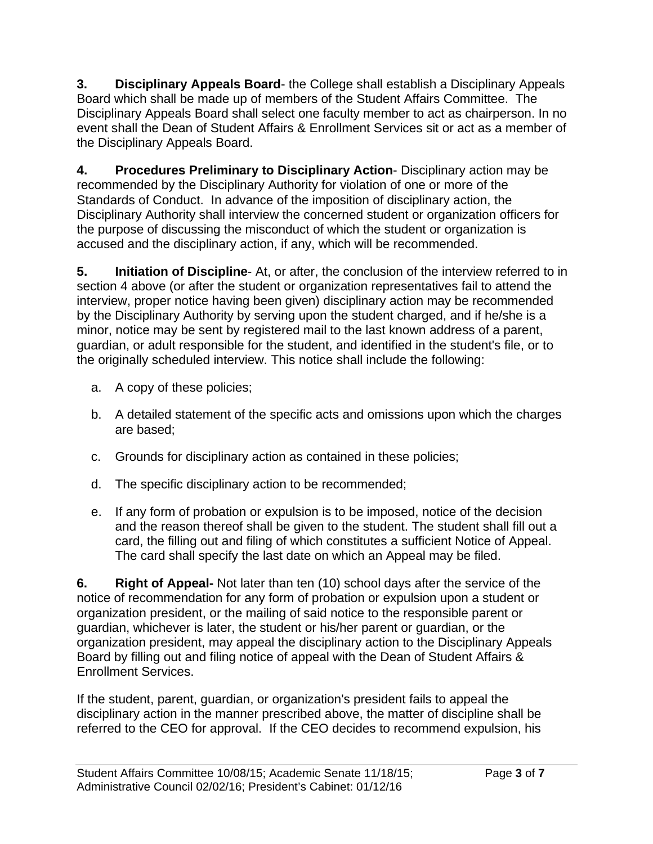**3. Disciplinary Appeals Board**- the College shall establish a Disciplinary Appeals Board which shall be made up of members of the Student Affairs Committee. The Disciplinary Appeals Board shall select one faculty member to act as chairperson. In no event shall the Dean of Student Affairs & Enrollment Services sit or act as a member of the Disciplinary Appeals Board.

**4. Procedures Preliminary to Disciplinary Action**- Disciplinary action may be recommended by the Disciplinary Authority for violation of one or more of the Standards of Conduct. In advance of the imposition of disciplinary action, the Disciplinary Authority shall interview the concerned student or organization officers for the purpose of discussing the misconduct of which the student or organization is accused and the disciplinary action, if any, which will be recommended.

**5. Initiation of Discipline**- At, or after, the conclusion of the interview referred to in section 4 above (or after the student or organization representatives fail to attend the interview, proper notice having been given) disciplinary action may be recommended by the Disciplinary Authority by serving upon the student charged, and if he/she is a minor, notice may be sent by registered mail to the last known address of a parent, guardian, or adult responsible for the student, and identified in the student's file, or to the originally scheduled interview. This notice shall include the following:

- a. A copy of these policies;
- b. A detailed statement of the specific acts and omissions upon which the charges are based;
- c. Grounds for disciplinary action as contained in these policies;
- d. The specific disciplinary action to be recommended;
- e. If any form of probation or expulsion is to be imposed, notice of the decision and the reason thereof shall be given to the student. The student shall fill out a card, the filling out and filing of which constitutes a sufficient Notice of Appeal. The card shall specify the last date on which an Appeal may be filed.

**6. Right of Appeal-** Not later than ten (10) school days after the service of the notice of recommendation for any form of probation or expulsion upon a student or organization president, or the mailing of said notice to the responsible parent or guardian, whichever is later, the student or his/her parent or guardian, or the organization president, may appeal the disciplinary action to the Disciplinary Appeals Board by filling out and filing notice of appeal with the Dean of Student Affairs & Enrollment Services.

If the student, parent, guardian, or organization's president fails to appeal the disciplinary action in the manner prescribed above, the matter of discipline shall be referred to the CEO for approval. If the CEO decides to recommend expulsion, his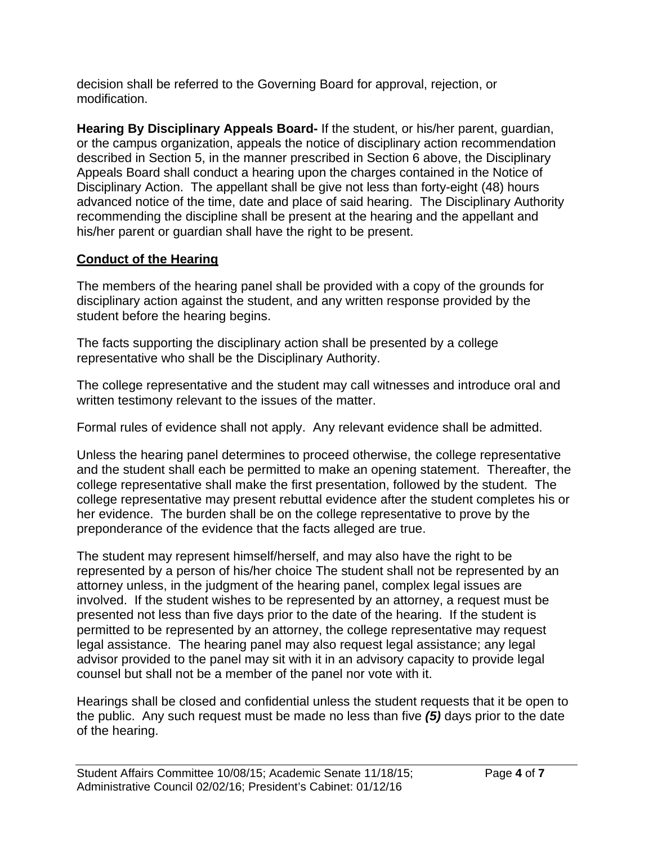decision shall be referred to the Governing Board for approval, rejection, or modification.

**Hearing By Disciplinary Appeals Board-** If the student, or his/her parent, guardian, or the campus organization, appeals the notice of disciplinary action recommendation described in Section 5, in the manner prescribed in Section 6 above, the Disciplinary Appeals Board shall conduct a hearing upon the charges contained in the Notice of Disciplinary Action. The appellant shall be give not less than forty-eight (48) hours advanced notice of the time, date and place of said hearing. The Disciplinary Authority recommending the discipline shall be present at the hearing and the appellant and his/her parent or guardian shall have the right to be present.

# **Conduct of the Hearing**

The members of the hearing panel shall be provided with a copy of the grounds for disciplinary action against the student, and any written response provided by the student before the hearing begins.

The facts supporting the disciplinary action shall be presented by a college representative who shall be the Disciplinary Authority.

The college representative and the student may call witnesses and introduce oral and written testimony relevant to the issues of the matter.

Formal rules of evidence shall not apply. Any relevant evidence shall be admitted.

Unless the hearing panel determines to proceed otherwise, the college representative and the student shall each be permitted to make an opening statement. Thereafter, the college representative shall make the first presentation, followed by the student. The college representative may present rebuttal evidence after the student completes his or her evidence. The burden shall be on the college representative to prove by the preponderance of the evidence that the facts alleged are true.

The student may represent himself/herself, and may also have the right to be represented by a person of his/her choice The student shall not be represented by an attorney unless, in the judgment of the hearing panel, complex legal issues are involved. If the student wishes to be represented by an attorney, a request must be presented not less than five days prior to the date of the hearing. If the student is permitted to be represented by an attorney, the college representative may request legal assistance. The hearing panel may also request legal assistance; any legal advisor provided to the panel may sit with it in an advisory capacity to provide legal counsel but shall not be a member of the panel nor vote with it.

Hearings shall be closed and confidential unless the student requests that it be open to the public. Any such request must be made no less than five *(5)* days prior to the date of the hearing.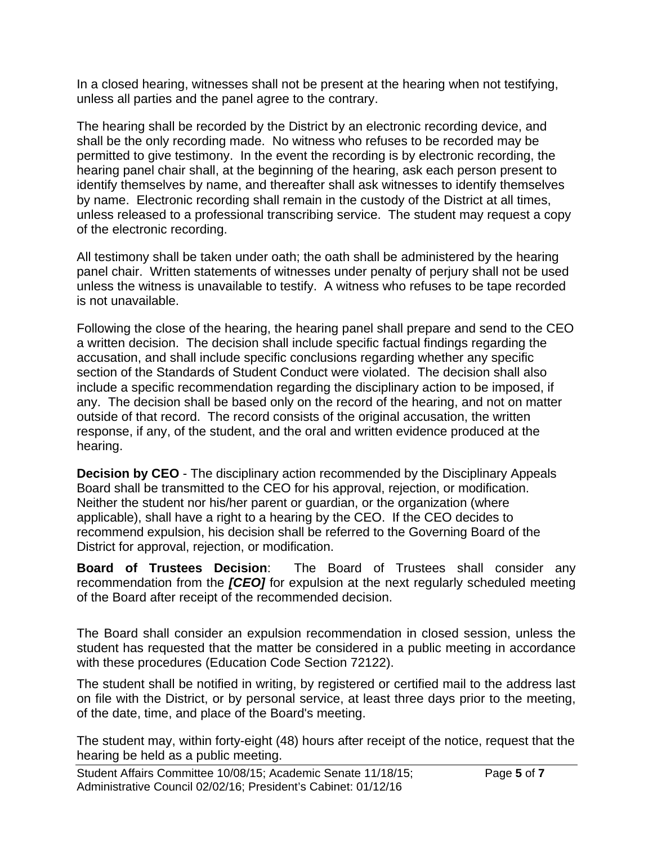In a closed hearing, witnesses shall not be present at the hearing when not testifying, unless all parties and the panel agree to the contrary.

The hearing shall be recorded by the District by an electronic recording device, and shall be the only recording made. No witness who refuses to be recorded may be permitted to give testimony. In the event the recording is by electronic recording, the hearing panel chair shall, at the beginning of the hearing, ask each person present to identify themselves by name, and thereafter shall ask witnesses to identify themselves by name. Electronic recording shall remain in the custody of the District at all times, unless released to a professional transcribing service. The student may request a copy of the electronic recording.

All testimony shall be taken under oath; the oath shall be administered by the hearing panel chair. Written statements of witnesses under penalty of perjury shall not be used unless the witness is unavailable to testify. A witness who refuses to be tape recorded is not unavailable.

Following the close of the hearing, the hearing panel shall prepare and send to the CEO a written decision. The decision shall include specific factual findings regarding the accusation, and shall include specific conclusions regarding whether any specific section of the Standards of Student Conduct were violated. The decision shall also include a specific recommendation regarding the disciplinary action to be imposed, if any. The decision shall be based only on the record of the hearing, and not on matter outside of that record. The record consists of the original accusation, the written response, if any, of the student, and the oral and written evidence produced at the hearing.

**Decision by CEO** - The disciplinary action recommended by the Disciplinary Appeals Board shall be transmitted to the CEO for his approval, rejection, or modification. Neither the student nor his/her parent or guardian, or the organization (where applicable), shall have a right to a hearing by the CEO. If the CEO decides to recommend expulsion, his decision shall be referred to the Governing Board of the District for approval, rejection, or modification.

**Board of Trustees Decision**: The Board of Trustees shall consider any recommendation from the *[CEO]* for expulsion at the next regularly scheduled meeting of the Board after receipt of the recommended decision.

The Board shall consider an expulsion recommendation in closed session, unless the student has requested that the matter be considered in a public meeting in accordance with these procedures (Education Code Section 72122).

The student shall be notified in writing, by registered or certified mail to the address last on file with the District, or by personal service, at least three days prior to the meeting, of the date, time, and place of the Board's meeting.

The student may, within forty-eight (48) hours after receipt of the notice, request that the hearing be held as a public meeting.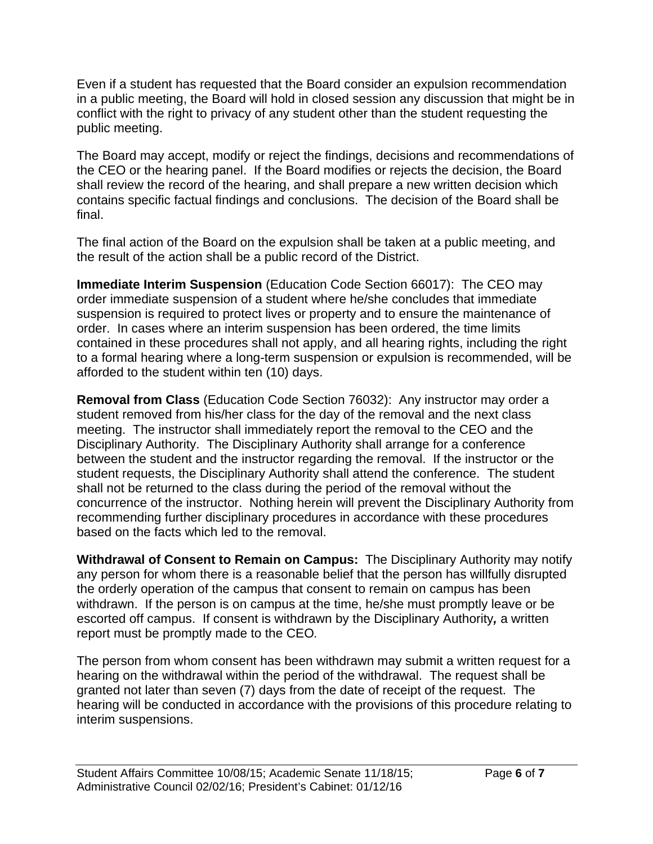Even if a student has requested that the Board consider an expulsion recommendation in a public meeting, the Board will hold in closed session any discussion that might be in conflict with the right to privacy of any student other than the student requesting the public meeting.

The Board may accept, modify or reject the findings, decisions and recommendations of the CEO or the hearing panel. If the Board modifies or rejects the decision, the Board shall review the record of the hearing, and shall prepare a new written decision which contains specific factual findings and conclusions. The decision of the Board shall be final.

The final action of the Board on the expulsion shall be taken at a public meeting, and the result of the action shall be a public record of the District.

**Immediate Interim Suspension** (Education Code Section 66017): The CEO may order immediate suspension of a student where he/she concludes that immediate suspension is required to protect lives or property and to ensure the maintenance of order. In cases where an interim suspension has been ordered, the time limits contained in these procedures shall not apply, and all hearing rights, including the right to a formal hearing where a long-term suspension or expulsion is recommended, will be afforded to the student within ten (10) days.

**Removal from Class** (Education Code Section 76032): Any instructor may order a student removed from his/her class for the day of the removal and the next class meeting. The instructor shall immediately report the removal to the CEO and the Disciplinary Authority. The Disciplinary Authority shall arrange for a conference between the student and the instructor regarding the removal. If the instructor or the student requests, the Disciplinary Authority shall attend the conference. The student shall not be returned to the class during the period of the removal without the concurrence of the instructor. Nothing herein will prevent the Disciplinary Authority from recommending further disciplinary procedures in accordance with these procedures based on the facts which led to the removal.

**Withdrawal of Consent to Remain on Campus:** The Disciplinary Authority may notify any person for whom there is a reasonable belief that the person has willfully disrupted the orderly operation of the campus that consent to remain on campus has been withdrawn. If the person is on campus at the time, he/she must promptly leave or be escorted off campus. If consent is withdrawn by the Disciplinary Authority*,* a written report must be promptly made to the CEO*.* 

The person from whom consent has been withdrawn may submit a written request for a hearing on the withdrawal within the period of the withdrawal. The request shall be granted not later than seven (7) days from the date of receipt of the request. The hearing will be conducted in accordance with the provisions of this procedure relating to interim suspensions.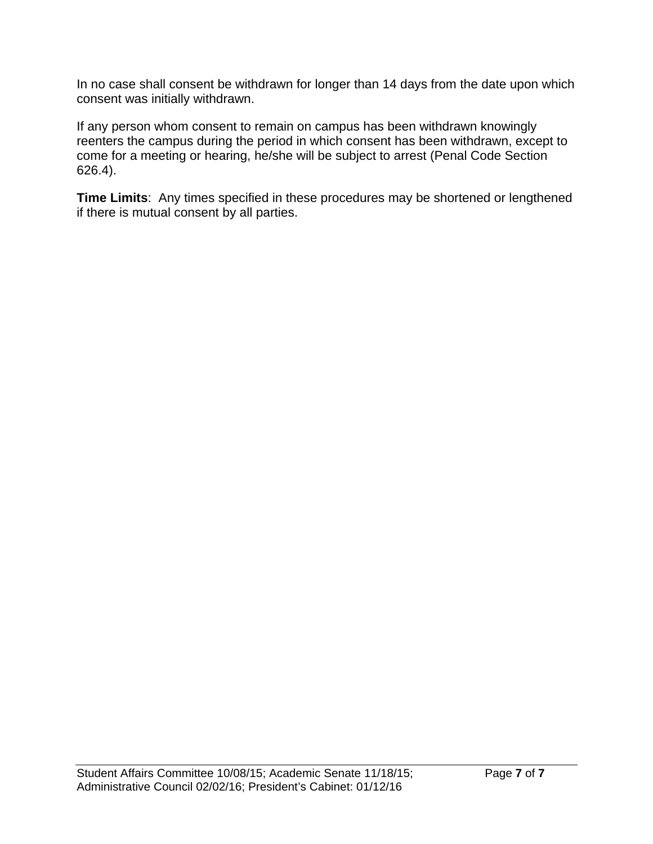In no case shall consent be withdrawn for longer than 14 days from the date upon which consent was initially withdrawn.

If any person whom consent to remain on campus has been withdrawn knowingly reenters the campus during the period in which consent has been withdrawn, except to come for a meeting or hearing, he/she will be subject to arrest (Penal Code Section 626.4).

**Time Limits**: Any times specified in these procedures may be shortened or lengthened if there is mutual consent by all parties.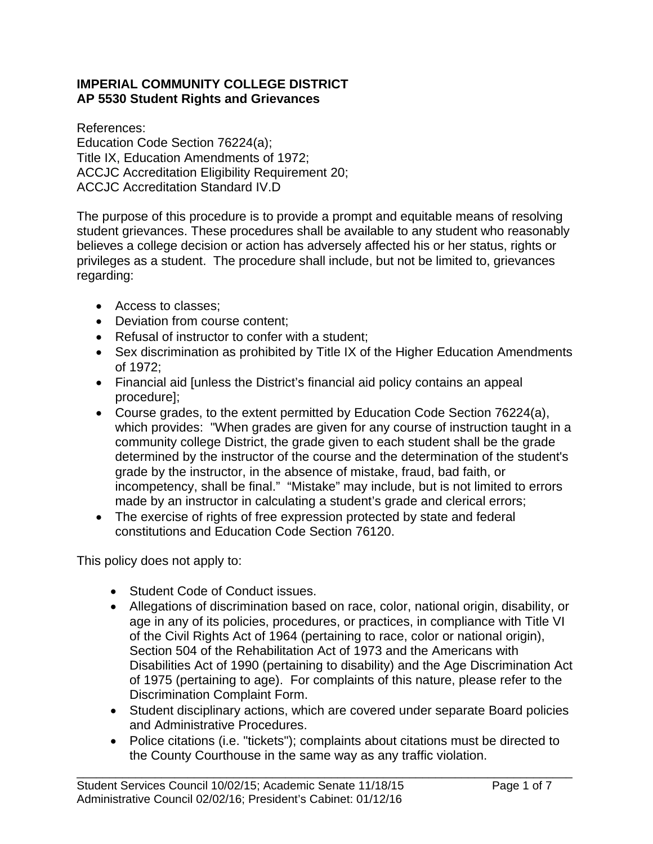# **IMPERIAL COMMUNITY COLLEGE DISTRICT AP 5530 Student Rights and Grievances**

References: Education Code Section 76224(a); Title IX, Education Amendments of 1972; ACCJC Accreditation Eligibility Requirement 20; ACCJC Accreditation Standard IV.D

The purpose of this procedure is to provide a prompt and equitable means of resolving student grievances. These procedures shall be available to any student who reasonably believes a college decision or action has adversely affected his or her status, rights or privileges as a student. The procedure shall include, but not be limited to, grievances regarding:

- Access to classes:
- Deviation from course content;
- Refusal of instructor to confer with a student:
- Sex discrimination as prohibited by Title IX of the Higher Education Amendments of 1972;
- Financial aid [unless the District's financial aid policy contains an appeal procedure];
- Course grades, to the extent permitted by Education Code Section 76224(a), which provides: "When grades are given for any course of instruction taught in a community college District, the grade given to each student shall be the grade determined by the instructor of the course and the determination of the student's grade by the instructor, in the absence of mistake, fraud, bad faith, or incompetency, shall be final." "Mistake" may include, but is not limited to errors made by an instructor in calculating a student's grade and clerical errors;
- The exercise of rights of free expression protected by state and federal constitutions and Education Code Section 76120.

This policy does not apply to:

- Student Code of Conduct issues.
- Allegations of discrimination based on race, color, national origin, disability, or age in any of its policies, procedures, or practices, in compliance with Title VI of the Civil Rights Act of 1964 (pertaining to race, color or national origin), Section 504 of the Rehabilitation Act of 1973 and the Americans with Disabilities Act of 1990 (pertaining to disability) and the Age Discrimination Act of 1975 (pertaining to age). For complaints of this nature, please refer to the Discrimination Complaint Form.
- Student disciplinary actions, which are covered under separate Board policies and Administrative Procedures.
- Police citations (i.e. "tickets"); complaints about citations must be directed to the County Courthouse in the same way as any traffic violation.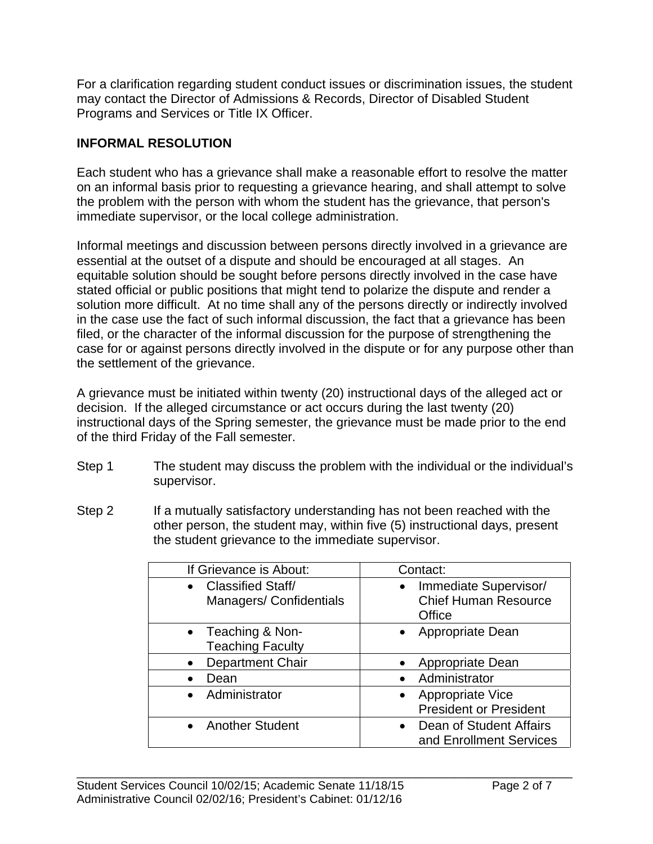For a clarification regarding student conduct issues or discrimination issues, the student may contact the Director of Admissions & Records, Director of Disabled Student Programs and Services or Title IX Officer.

# **INFORMAL RESOLUTION**

Each student who has a grievance shall make a reasonable effort to resolve the matter on an informal basis prior to requesting a grievance hearing, and shall attempt to solve the problem with the person with whom the student has the grievance, that person's immediate supervisor, or the local college administration.

Informal meetings and discussion between persons directly involved in a grievance are essential at the outset of a dispute and should be encouraged at all stages. An equitable solution should be sought before persons directly involved in the case have stated official or public positions that might tend to polarize the dispute and render a solution more difficult. At no time shall any of the persons directly or indirectly involved in the case use the fact of such informal discussion, the fact that a grievance has been filed, or the character of the informal discussion for the purpose of strengthening the case for or against persons directly involved in the dispute or for any purpose other than the settlement of the grievance.

A grievance must be initiated within twenty (20) instructional days of the alleged act or decision. If the alleged circumstance or act occurs during the last twenty (20) instructional days of the Spring semester, the grievance must be made prior to the end of the third Friday of the Fall semester.

- Step 1 The student may discuss the problem with the individual or the individual's supervisor.
- Step 2 If a mutually satisfactory understanding has not been reached with the other person, the student may, within five (5) instructional days, present the student grievance to the immediate supervisor.

| If Grievance is About:                               | Contact:                                                                    |
|------------------------------------------------------|-----------------------------------------------------------------------------|
| • Classified Staff/<br><b>Managers/Confidentials</b> | Immediate Supervisor/<br>$\bullet$<br><b>Chief Human Resource</b><br>Office |
| • Teaching & Non-<br><b>Teaching Faculty</b>         | • Appropriate Dean                                                          |
| <b>Department Chair</b><br>$\bullet$                 | Appropriate Dean                                                            |
| Dean                                                 | Administrator                                                               |
| • Administrator                                      | • Appropriate Vice<br><b>President or President</b>                         |
| • Another Student                                    | Dean of Student Affairs<br>$\bullet$<br>and Enrollment Services             |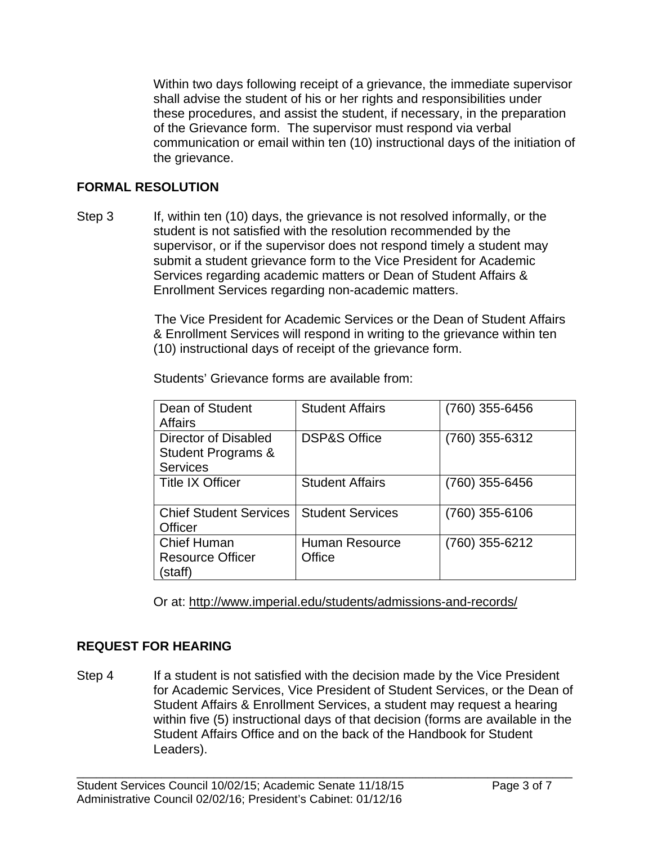Within two days following receipt of a grievance, the immediate supervisor shall advise the student of his or her rights and responsibilities under these procedures, and assist the student, if necessary, in the preparation of the Grievance form. The supervisor must respond via verbal communication or email within ten (10) instructional days of the initiation of the grievance.

# **FORMAL RESOLUTION**

Step 3 If, within ten (10) days, the grievance is not resolved informally, or the student is not satisfied with the resolution recommended by the supervisor, or if the supervisor does not respond timely a student may submit a student grievance form to the Vice President for Academic Services regarding academic matters or Dean of Student Affairs & Enrollment Services regarding non-academic matters.

> The Vice President for Academic Services or the Dean of Student Affairs & Enrollment Services will respond in writing to the grievance within ten (10) instructional days of receipt of the grievance form.

Students' Grievance forms are available from:

| Dean of Student<br>Affairs                                               | <b>Student Affairs</b>          | (760) 355-6456 |
|--------------------------------------------------------------------------|---------------------------------|----------------|
| Director of Disabled<br><b>Student Programs &amp;</b><br><b>Services</b> | <b>DSP&amp;S Office</b>         | (760) 355-6312 |
| <b>Title IX Officer</b>                                                  | <b>Student Affairs</b>          | (760) 355-6456 |
| <b>Chief Student Services</b><br><b>Officer</b>                          | <b>Student Services</b>         | (760) 355-6106 |
| <b>Chief Human</b><br><b>Resource Officer</b><br>staff)                  | <b>Human Resource</b><br>Office | (760) 355-6212 |

Or at: http://www.imperial.edu/students/admissions-and-records/

# **REQUEST FOR HEARING**

Step 4 If a student is not satisfied with the decision made by the Vice President for Academic Services, Vice President of Student Services, or the Dean of Student Affairs & Enrollment Services, a student may request a hearing within five (5) instructional days of that decision (forms are available in the Student Affairs Office and on the back of the Handbook for Student Leaders).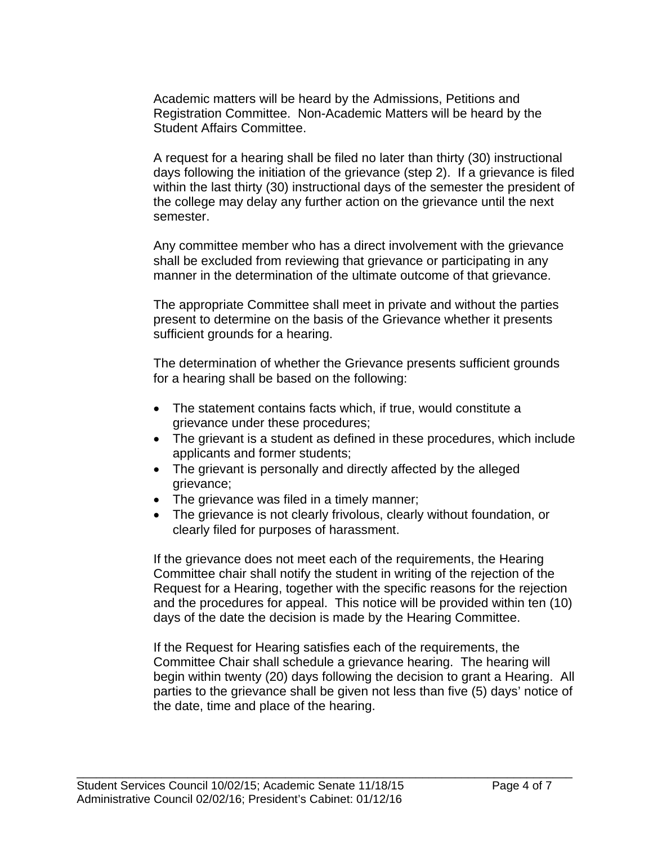Academic matters will be heard by the Admissions, Petitions and Registration Committee. Non-Academic Matters will be heard by the Student Affairs Committee.

A request for a hearing shall be filed no later than thirty (30) instructional days following the initiation of the grievance (step 2). If a grievance is filed within the last thirty (30) instructional days of the semester the president of the college may delay any further action on the grievance until the next semester.

Any committee member who has a direct involvement with the grievance shall be excluded from reviewing that grievance or participating in any manner in the determination of the ultimate outcome of that grievance.

The appropriate Committee shall meet in private and without the parties present to determine on the basis of the Grievance whether it presents sufficient grounds for a hearing.

The determination of whether the Grievance presents sufficient grounds for a hearing shall be based on the following:

- The statement contains facts which, if true, would constitute a grievance under these procedures;
- The grievant is a student as defined in these procedures, which include applicants and former students;
- The grievant is personally and directly affected by the alleged grievance;
- The grievance was filed in a timely manner;
- The grievance is not clearly frivolous, clearly without foundation, or clearly filed for purposes of harassment.

If the grievance does not meet each of the requirements, the Hearing Committee chair shall notify the student in writing of the rejection of the Request for a Hearing, together with the specific reasons for the rejection and the procedures for appeal. This notice will be provided within ten (10) days of the date the decision is made by the Hearing Committee.

If the Request for Hearing satisfies each of the requirements, the Committee Chair shall schedule a grievance hearing. The hearing will begin within twenty (20) days following the decision to grant a Hearing. All parties to the grievance shall be given not less than five (5) days' notice of the date, time and place of the hearing.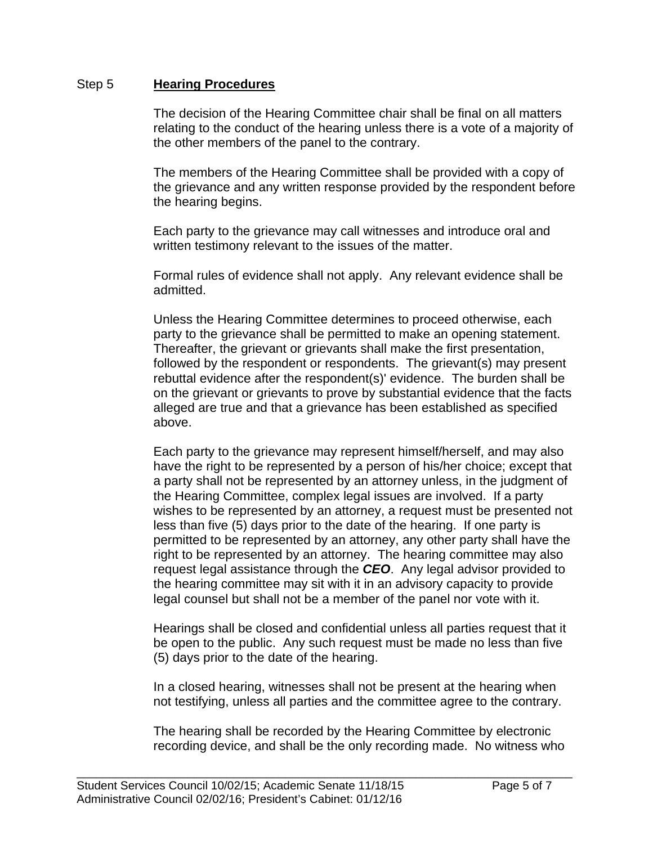### Step 5 **Hearing Procedures**

The decision of the Hearing Committee chair shall be final on all matters relating to the conduct of the hearing unless there is a vote of a majority of the other members of the panel to the contrary.

The members of the Hearing Committee shall be provided with a copy of the grievance and any written response provided by the respondent before the hearing begins.

Each party to the grievance may call witnesses and introduce oral and written testimony relevant to the issues of the matter.

Formal rules of evidence shall not apply. Any relevant evidence shall be admitted.

Unless the Hearing Committee determines to proceed otherwise, each party to the grievance shall be permitted to make an opening statement. Thereafter, the grievant or grievants shall make the first presentation, followed by the respondent or respondents. The grievant(s) may present rebuttal evidence after the respondent(s)' evidence. The burden shall be on the grievant or grievants to prove by substantial evidence that the facts alleged are true and that a grievance has been established as specified above.

Each party to the grievance may represent himself/herself, and may also have the right to be represented by a person of his/her choice; except that a party shall not be represented by an attorney unless, in the judgment of the Hearing Committee, complex legal issues are involved. If a party wishes to be represented by an attorney, a request must be presented not less than five (5) days prior to the date of the hearing. If one party is permitted to be represented by an attorney, any other party shall have the right to be represented by an attorney. The hearing committee may also request legal assistance through the *CEO*. Any legal advisor provided to the hearing committee may sit with it in an advisory capacity to provide legal counsel but shall not be a member of the panel nor vote with it.

Hearings shall be closed and confidential unless all parties request that it be open to the public. Any such request must be made no less than five (5) days prior to the date of the hearing.

In a closed hearing, witnesses shall not be present at the hearing when not testifying, unless all parties and the committee agree to the contrary.

The hearing shall be recorded by the Hearing Committee by electronic recording device, and shall be the only recording made. No witness who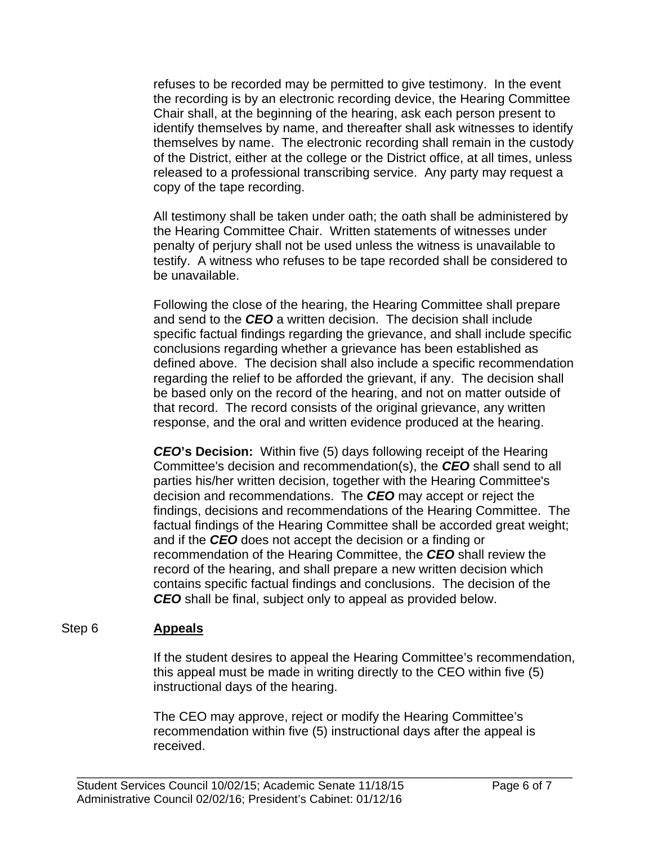refuses to be recorded may be permitted to give testimony. In the event the recording is by an electronic recording device, the Hearing Committee Chair shall, at the beginning of the hearing, ask each person present to identify themselves by name, and thereafter shall ask witnesses to identify themselves by name. The electronic recording shall remain in the custody of the District, either at the college or the District office, at all times, unless released to a professional transcribing service. Any party may request a copy of the tape recording.

All testimony shall be taken under oath; the oath shall be administered by the Hearing Committee Chair. Written statements of witnesses under penalty of perjury shall not be used unless the witness is unavailable to testify. A witness who refuses to be tape recorded shall be considered to be unavailable.

Following the close of the hearing, the Hearing Committee shall prepare and send to the *CEO* a written decision. The decision shall include specific factual findings regarding the grievance, and shall include specific conclusions regarding whether a grievance has been established as defined above. The decision shall also include a specific recommendation regarding the relief to be afforded the grievant, if any. The decision shall be based only on the record of the hearing, and not on matter outside of that record. The record consists of the original grievance, any written response, and the oral and written evidence produced at the hearing.

*CEO***'s Decision:** Within five (5) days following receipt of the Hearing Committee's decision and recommendation(s), the *CEO* shall send to all parties his/her written decision, together with the Hearing Committee's decision and recommendations. The *CEO* may accept or reject the findings, decisions and recommendations of the Hearing Committee. The factual findings of the Hearing Committee shall be accorded great weight; and if the *CEO* does not accept the decision or a finding or recommendation of the Hearing Committee, the *CEO* shall review the record of the hearing, and shall prepare a new written decision which contains specific factual findings and conclusions. The decision of the *CEO* shall be final, subject only to appeal as provided below.

# Step 6 **Appeals**

If the student desires to appeal the Hearing Committee's recommendation, this appeal must be made in writing directly to the CEO within five (5) instructional days of the hearing.

The CEO may approve, reject or modify the Hearing Committee's recommendation within five (5) instructional days after the appeal is received.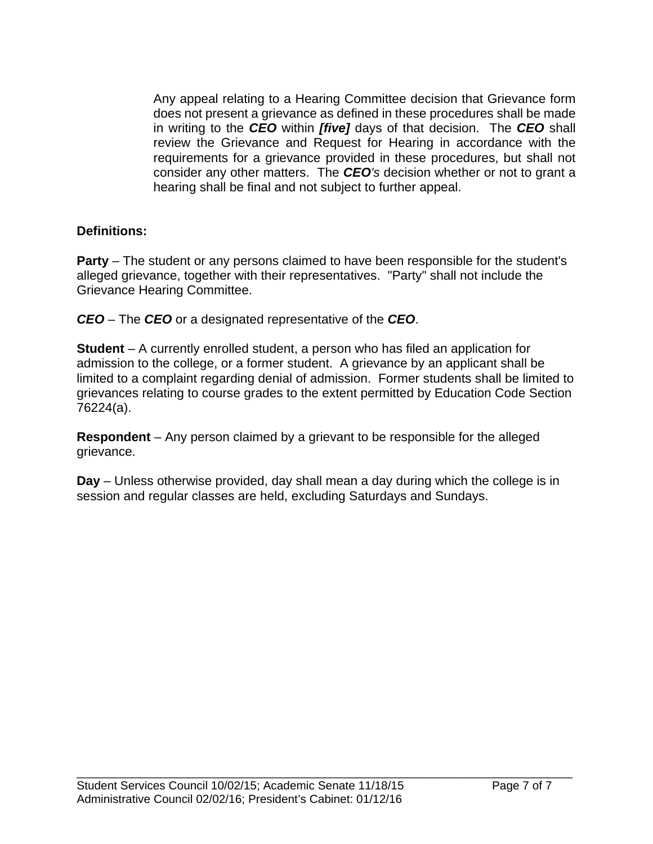Any appeal relating to a Hearing Committee decision that Grievance form does not present a grievance as defined in these procedures shall be made in writing to the *CEO* within *[five]* days of that decision. The *CEO* shall review the Grievance and Request for Hearing in accordance with the requirements for a grievance provided in these procedures, but shall not consider any other matters. The *CEO's* decision whether or not to grant a hearing shall be final and not subject to further appeal.

# **Definitions:**

**Party** – The student or any persons claimed to have been responsible for the student's alleged grievance, together with their representatives. "Party" shall not include the Grievance Hearing Committee.

*CEO* – The *CEO* or a designated representative of the *CEO*.

**Student** – A currently enrolled student, a person who has filed an application for admission to the college, or a former student. A grievance by an applicant shall be limited to a complaint regarding denial of admission. Former students shall be limited to grievances relating to course grades to the extent permitted by Education Code Section 76224(a).

**Respondent** – Any person claimed by a grievant to be responsible for the alleged grievance.

**Day** – Unless otherwise provided, day shall mean a day during which the college is in session and regular classes are held, excluding Saturdays and Sundays.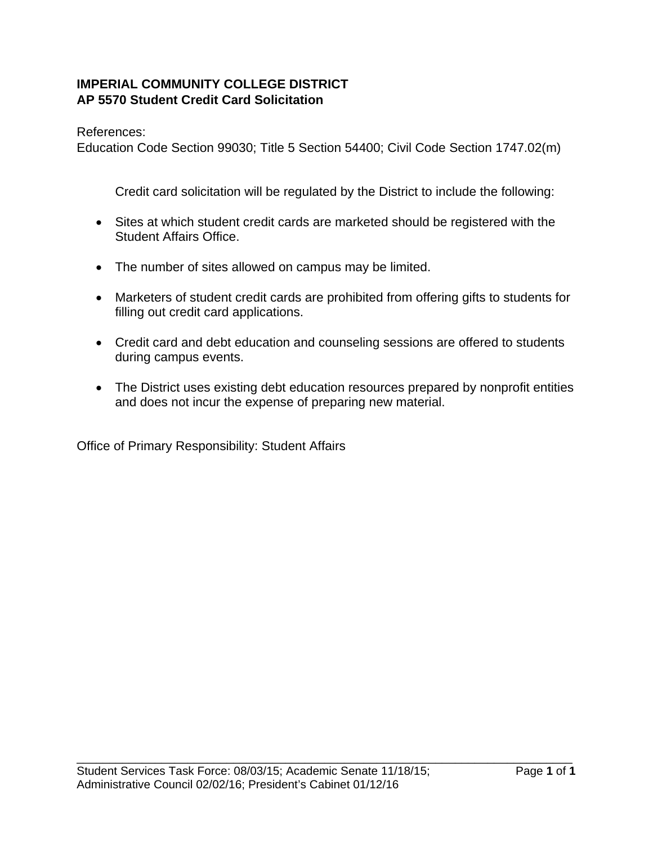# **IMPERIAL COMMUNITY COLLEGE DISTRICT AP 5570 Student Credit Card Solicitation**

References:

Education Code Section 99030; Title 5 Section 54400; Civil Code Section 1747.02(m)

Credit card solicitation will be regulated by the District to include the following:

- Sites at which student credit cards are marketed should be registered with the Student Affairs Office.
- The number of sites allowed on campus may be limited.
- Marketers of student credit cards are prohibited from offering gifts to students for filling out credit card applications.
- Credit card and debt education and counseling sessions are offered to students during campus events.
- The District uses existing debt education resources prepared by nonprofit entities and does not incur the expense of preparing new material.

Office of Primary Responsibility: Student Affairs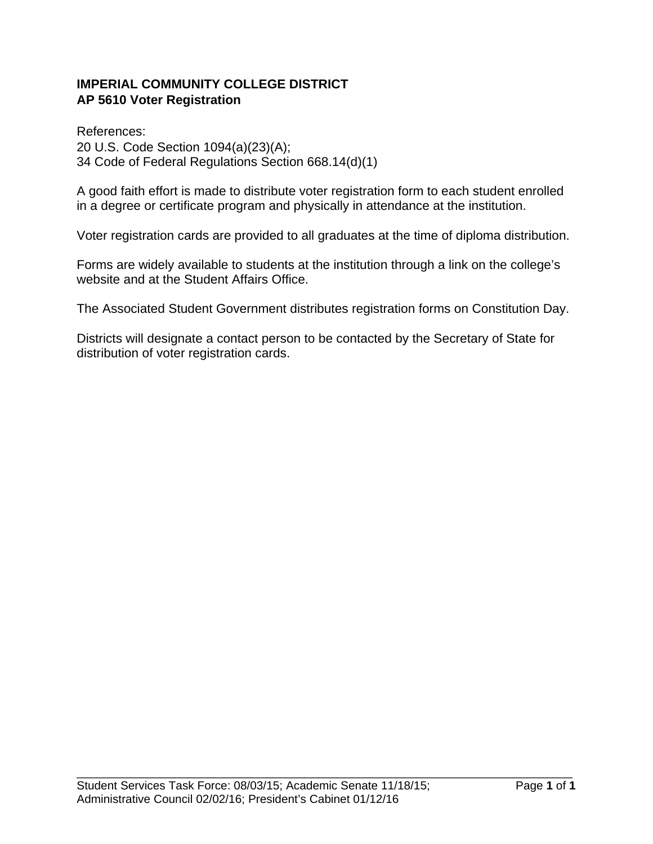# **IMPERIAL COMMUNITY COLLEGE DISTRICT AP 5610 Voter Registration**

References: 20 U.S. Code Section 1094(a)(23)(A); 34 Code of Federal Regulations Section 668.14(d)(1)

A good faith effort is made to distribute voter registration form to each student enrolled in a degree or certificate program and physically in attendance at the institution.

Voter registration cards are provided to all graduates at the time of diploma distribution.

Forms are widely available to students at the institution through a link on the college's website and at the Student Affairs Office.

The Associated Student Government distributes registration forms on Constitution Day.

Districts will designate a contact person to be contacted by the Secretary of State for distribution of voter registration cards.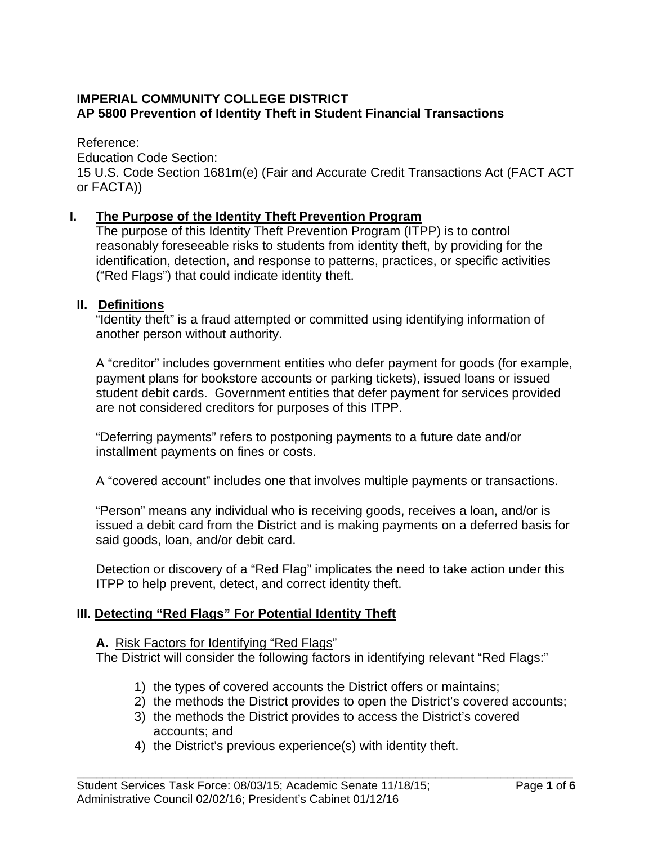# **IMPERIAL COMMUNITY COLLEGE DISTRICT AP 5800 Prevention of Identity Theft in Student Financial Transactions**

Reference:

Education Code Section:

15 U.S. Code Section 1681m(e) (Fair and Accurate Credit Transactions Act (FACT ACT or FACTA))

# **I. The Purpose of the Identity Theft Prevention Program**

The purpose of this Identity Theft Prevention Program (ITPP) is to control reasonably foreseeable risks to students from identity theft, by providing for the identification, detection, and response to patterns, practices, or specific activities ("Red Flags") that could indicate identity theft.

### **II. Definitions**

 "Identity theft" is a fraud attempted or committed using identifying information of another person without authority.

 A "creditor" includes government entities who defer payment for goods (for example, payment plans for bookstore accounts or parking tickets), issued loans or issued student debit cards. Government entities that defer payment for services provided are not considered creditors for purposes of this ITPP.

 "Deferring payments" refers to postponing payments to a future date and/or installment payments on fines or costs.

A "covered account" includes one that involves multiple payments or transactions.

 "Person" means any individual who is receiving goods, receives a loan, and/or is issued a debit card from the District and is making payments on a deferred basis for said goods, loan, and/or debit card.

 Detection or discovery of a "Red Flag" implicates the need to take action under this ITPP to help prevent, detect, and correct identity theft.

# **III. Detecting "Red Flags" For Potential Identity Theft**

### **A.** Risk Factors for Identifying "Red Flags"

The District will consider the following factors in identifying relevant "Red Flags:"

- 1) the types of covered accounts the District offers or maintains;
- 2) the methods the District provides to open the District's covered accounts;
- 3) the methods the District provides to access the District's covered accounts; and

\_\_\_\_\_\_\_\_\_\_\_\_\_\_\_\_\_\_\_\_\_\_\_\_\_\_\_\_\_\_\_\_\_\_\_\_\_\_\_\_\_\_\_\_\_\_\_\_\_\_\_\_\_\_\_\_\_\_\_\_\_\_\_\_\_\_\_\_\_\_\_\_\_\_\_\_

4) the District's previous experience(s) with identity theft.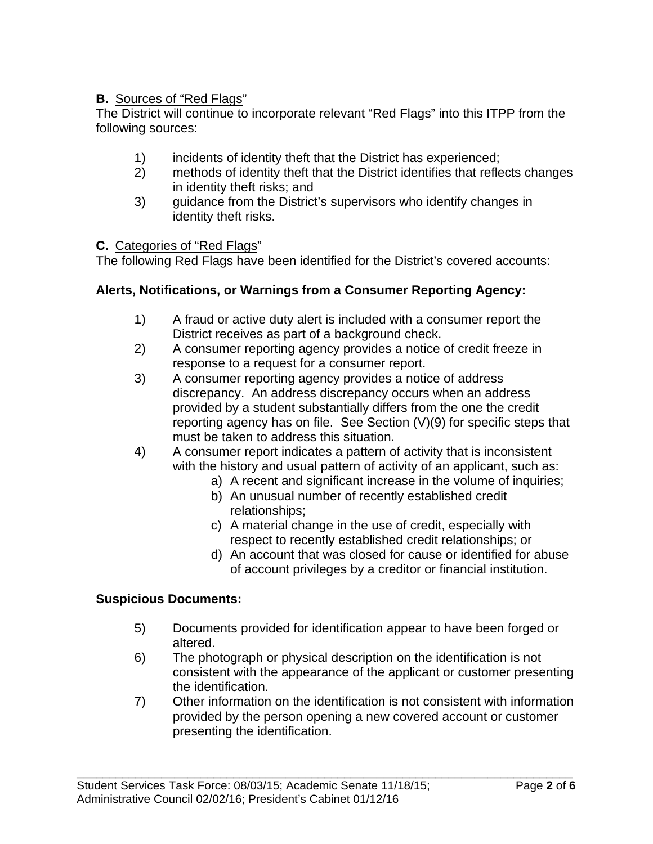# **B.** Sources of "Red Flags"

The District will continue to incorporate relevant "Red Flags" into this ITPP from the following sources:

- 1) incidents of identity theft that the District has experienced;
- 2) methods of identity theft that the District identifies that reflects changes in identity theft risks; and
- 3) guidance from the District's supervisors who identify changes in identity theft risks.

### **C.** Categories of "Red Flags"

The following Red Flags have been identified for the District's covered accounts:

# **Alerts, Notifications, or Warnings from a Consumer Reporting Agency:**

- 1) A fraud or active duty alert is included with a consumer report the District receives as part of a background check.
- 2) A consumer reporting agency provides a notice of credit freeze in response to a request for a consumer report.
- 3) A consumer reporting agency provides a notice of address discrepancy. An address discrepancy occurs when an address provided by a student substantially differs from the one the credit reporting agency has on file. See Section (V)(9) for specific steps that must be taken to address this situation.
- 4) A consumer report indicates a pattern of activity that is inconsistent with the history and usual pattern of activity of an applicant, such as:
	- a) A recent and significant increase in the volume of inquiries;
	- b) An unusual number of recently established credit relationships;
	- c) A material change in the use of credit, especially with respect to recently established credit relationships; or
	- d) An account that was closed for cause or identified for abuse of account privileges by a creditor or financial institution.

# **Suspicious Documents:**

- 5) Documents provided for identification appear to have been forged or altered.
- 6) The photograph or physical description on the identification is not consistent with the appearance of the applicant or customer presenting the identification.
- 7) Other information on the identification is not consistent with information provided by the person opening a new covered account or customer presenting the identification.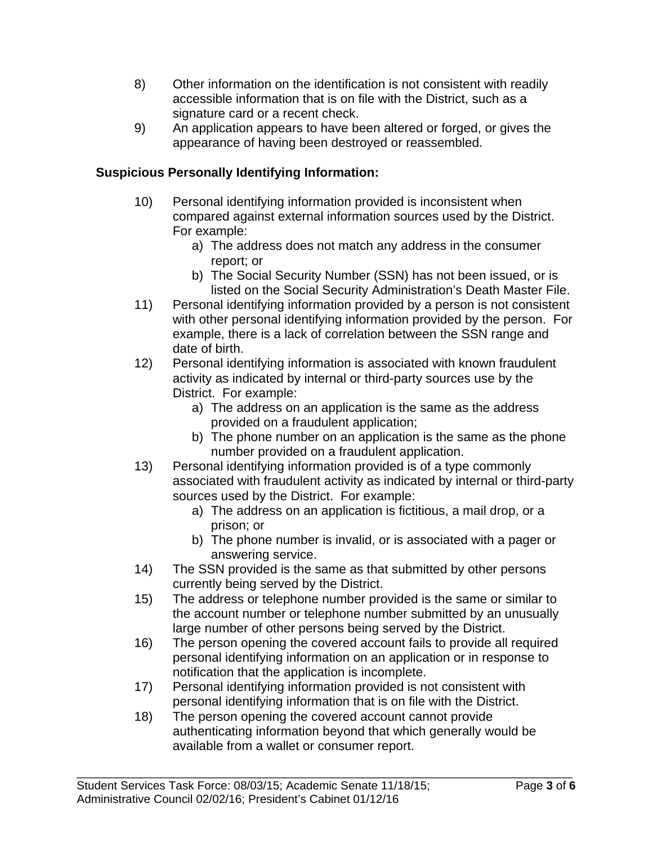- 8) Other information on the identification is not consistent with readily accessible information that is on file with the District, such as a signature card or a recent check.
- 9) An application appears to have been altered or forged, or gives the appearance of having been destroyed or reassembled.

# **Suspicious Personally Identifying Information:**

- 10) Personal identifying information provided is inconsistent when compared against external information sources used by the District. For example:
	- a) The address does not match any address in the consumer report; or
	- b) The Social Security Number (SSN) has not been issued, or is listed on the Social Security Administration's Death Master File.
- 11) Personal identifying information provided by a person is not consistent with other personal identifying information provided by the person. For example, there is a lack of correlation between the SSN range and date of birth.
- 12) Personal identifying information is associated with known fraudulent activity as indicated by internal or third-party sources use by the District. For example:
	- a) The address on an application is the same as the address provided on a fraudulent application;
	- b) The phone number on an application is the same as the phone number provided on a fraudulent application.
- 13) Personal identifying information provided is of a type commonly associated with fraudulent activity as indicated by internal or third-party sources used by the District. For example:
	- a) The address on an application is fictitious, a mail drop, or a prison; or
	- b) The phone number is invalid, or is associated with a pager or answering service.
- 14) The SSN provided is the same as that submitted by other persons currently being served by the District.
- 15) The address or telephone number provided is the same or similar to the account number or telephone number submitted by an unusually large number of other persons being served by the District.
- 16) The person opening the covered account fails to provide all required personal identifying information on an application or in response to notification that the application is incomplete.
- 17) Personal identifying information provided is not consistent with personal identifying information that is on file with the District.
- 18) The person opening the covered account cannot provide authenticating information beyond that which generally would be available from a wallet or consumer report.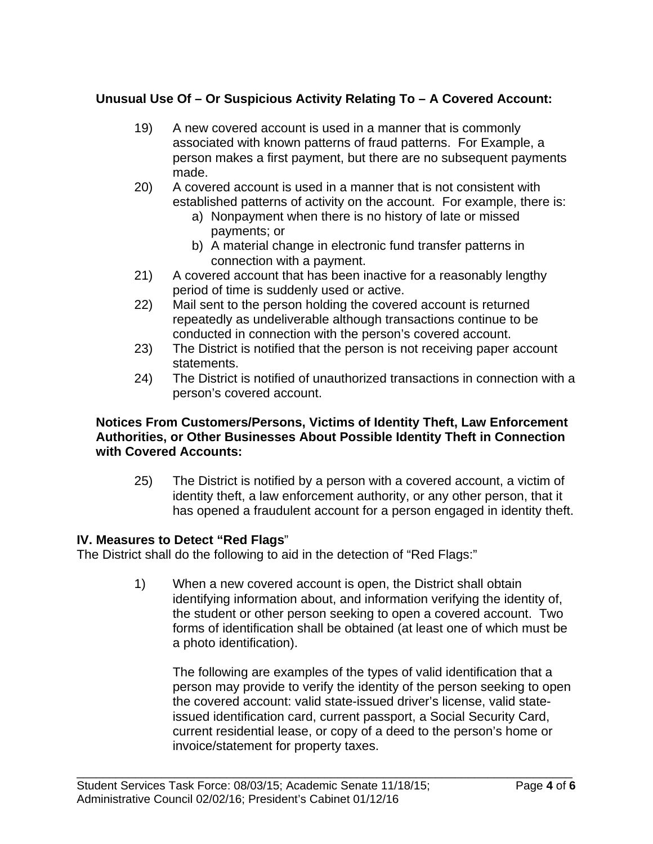# **Unusual Use Of – Or Suspicious Activity Relating To – A Covered Account:**

- 19) A new covered account is used in a manner that is commonly associated with known patterns of fraud patterns. For Example, a person makes a first payment, but there are no subsequent payments made.
- 20) A covered account is used in a manner that is not consistent with established patterns of activity on the account. For example, there is:
	- a) Nonpayment when there is no history of late or missed payments; or
	- b) A material change in electronic fund transfer patterns in connection with a payment.
- 21) A covered account that has been inactive for a reasonably lengthy period of time is suddenly used or active.
- 22) Mail sent to the person holding the covered account is returned repeatedly as undeliverable although transactions continue to be conducted in connection with the person's covered account.
- 23) The District is notified that the person is not receiving paper account statements.
- 24) The District is notified of unauthorized transactions in connection with a person's covered account.

### **Notices From Customers/Persons, Victims of Identity Theft, Law Enforcement Authorities, or Other Businesses About Possible Identity Theft in Connection with Covered Accounts:**

25) The District is notified by a person with a covered account, a victim of identity theft, a law enforcement authority, or any other person, that it has opened a fraudulent account for a person engaged in identity theft.

# **IV. Measures to Detect "Red Flags**"

The District shall do the following to aid in the detection of "Red Flags:"

1) When a new covered account is open, the District shall obtain identifying information about, and information verifying the identity of, the student or other person seeking to open a covered account. Two forms of identification shall be obtained (at least one of which must be a photo identification).

\_\_\_\_\_\_\_\_\_\_\_\_\_\_\_\_\_\_\_\_\_\_\_\_\_\_\_\_\_\_\_\_\_\_\_\_\_\_\_\_\_\_\_\_\_\_\_\_\_\_\_\_\_\_\_\_\_\_\_\_\_\_\_\_\_\_\_\_\_\_\_\_\_\_\_\_

 The following are examples of the types of valid identification that a person may provide to verify the identity of the person seeking to open the covered account: valid state-issued driver's license, valid stateissued identification card, current passport, a Social Security Card, current residential lease, or copy of a deed to the person's home or invoice/statement for property taxes.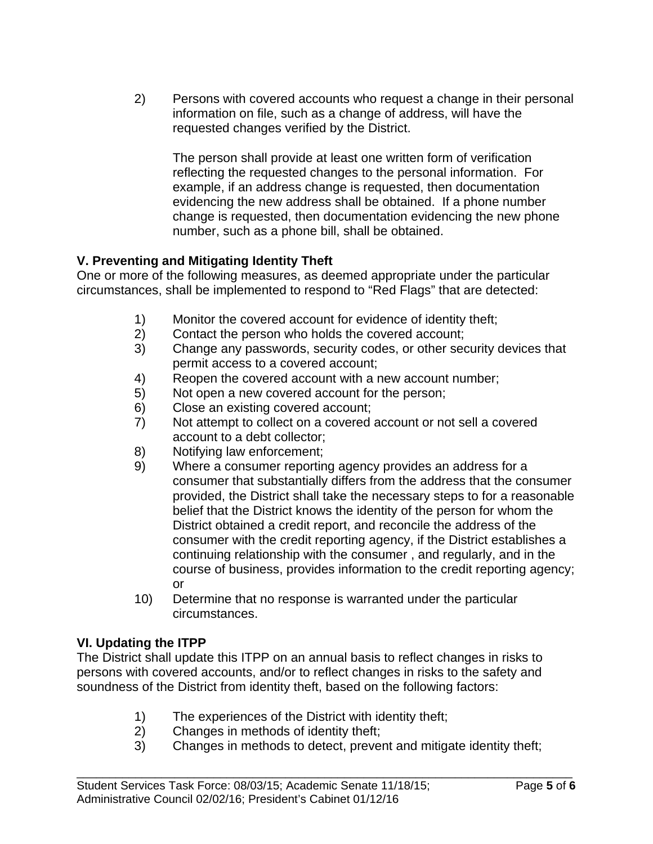2) Persons with covered accounts who request a change in their personal information on file, such as a change of address, will have the requested changes verified by the District.

 The person shall provide at least one written form of verification reflecting the requested changes to the personal information. For example, if an address change is requested, then documentation evidencing the new address shall be obtained. If a phone number change is requested, then documentation evidencing the new phone number, such as a phone bill, shall be obtained.

# **V. Preventing and Mitigating Identity Theft**

One or more of the following measures, as deemed appropriate under the particular circumstances, shall be implemented to respond to "Red Flags" that are detected:

- 1) Monitor the covered account for evidence of identity theft;
- 2) Contact the person who holds the covered account;
- 3) Change any passwords, security codes, or other security devices that permit access to a covered account;
- 4) Reopen the covered account with a new account number;
- 5) Not open a new covered account for the person;
- 6) Close an existing covered account;
- 7) Not attempt to collect on a covered account or not sell a covered account to a debt collector;
- 8) Notifying law enforcement;
- 9) Where a consumer reporting agency provides an address for a consumer that substantially differs from the address that the consumer provided, the District shall take the necessary steps to for a reasonable belief that the District knows the identity of the person for whom the District obtained a credit report, and reconcile the address of the consumer with the credit reporting agency, if the District establishes a continuing relationship with the consumer , and regularly, and in the course of business, provides information to the credit reporting agency; or
- 10) Determine that no response is warranted under the particular circumstances.

# **VI. Updating the ITPP**

The District shall update this ITPP on an annual basis to reflect changes in risks to persons with covered accounts, and/or to reflect changes in risks to the safety and soundness of the District from identity theft, based on the following factors:

- 1) The experiences of the District with identity theft;
- 2) Changes in methods of identity theft;
- 3) Changes in methods to detect, prevent and mitigate identity theft;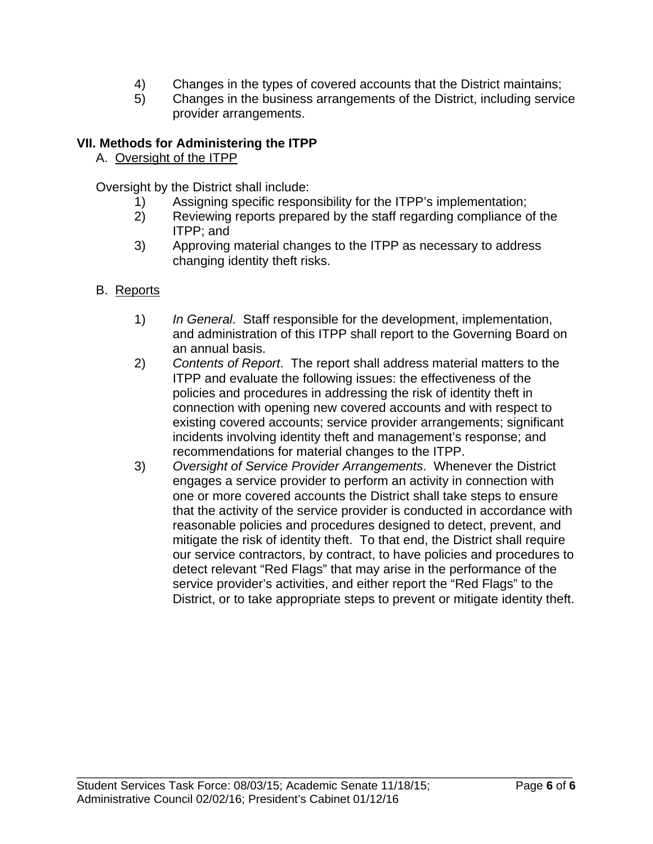- 4) Changes in the types of covered accounts that the District maintains;
- 5) Changes in the business arrangements of the District, including service provider arrangements.

# **VII. Methods for Administering the ITPP**

A. Oversight of the ITPP

Oversight by the District shall include:

- 1) Assigning specific responsibility for the ITPP's implementation;
- 2) Reviewing reports prepared by the staff regarding compliance of the ITPP; and
- 3) Approving material changes to the ITPP as necessary to address changing identity theft risks.
- B. Reports
	- 1) *In General*. Staff responsible for the development, implementation, and administration of this ITPP shall report to the Governing Board on an annual basis.
	- 2) *Contents of Report*. The report shall address material matters to the ITPP and evaluate the following issues: the effectiveness of the policies and procedures in addressing the risk of identity theft in connection with opening new covered accounts and with respect to existing covered accounts; service provider arrangements; significant incidents involving identity theft and management's response; and recommendations for material changes to the ITPP.
	- 3) *Oversight of Service Provider Arrangements*. Whenever the District engages a service provider to perform an activity in connection with one or more covered accounts the District shall take steps to ensure that the activity of the service provider is conducted in accordance with reasonable policies and procedures designed to detect, prevent, and mitigate the risk of identity theft. To that end, the District shall require our service contractors, by contract, to have policies and procedures to detect relevant "Red Flags" that may arise in the performance of the service provider's activities, and either report the "Red Flags" to the District, or to take appropriate steps to prevent or mitigate identity theft.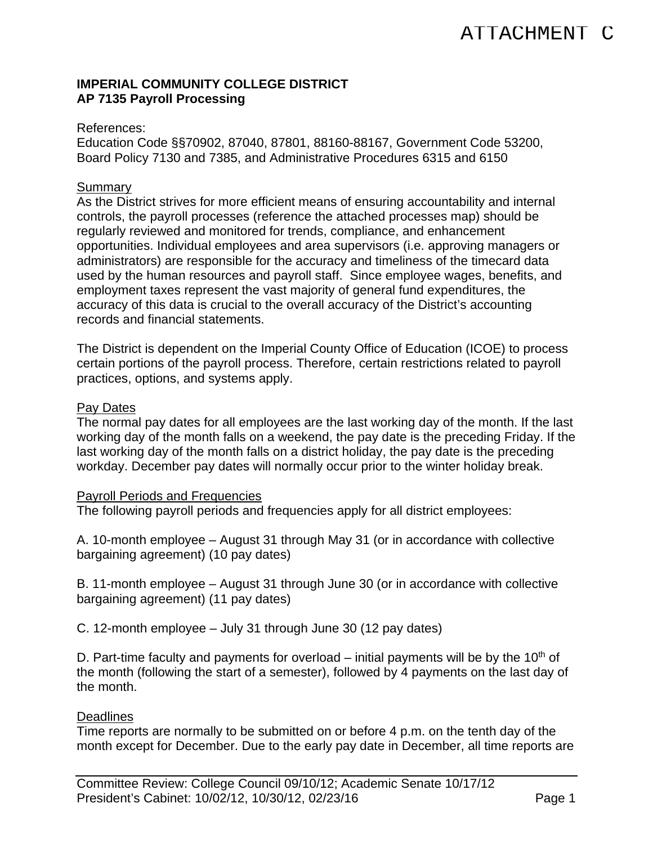### **IMPERIAL COMMUNITY COLLEGE DISTRICT AP 7135 Payroll Processing**

#### References:

Education Code §§70902, 87040, 87801, 88160-88167, Government Code 53200, Board Policy 7130 and 7385, and Administrative Procedures 6315 and 6150

#### **Summary**

As the District strives for more efficient means of ensuring accountability and internal controls, the payroll processes (reference the attached processes map) should be regularly reviewed and monitored for trends, compliance, and enhancement opportunities. Individual employees and area supervisors (i.e. approving managers or administrators) are responsible for the accuracy and timeliness of the timecard data used by the human resources and payroll staff. Since employee wages, benefits, and employment taxes represent the vast majority of general fund expenditures, the accuracy of this data is crucial to the overall accuracy of the District's accounting records and financial statements.

The District is dependent on the Imperial County Office of Education (ICOE) to process certain portions of the payroll process. Therefore, certain restrictions related to payroll practices, options, and systems apply.

#### Pay Dates

The normal pay dates for all employees are the last working day of the month. If the last working day of the month falls on a weekend, the pay date is the preceding Friday. If the last working day of the month falls on a district holiday, the pay date is the preceding workday. December pay dates will normally occur prior to the winter holiday break.

### Payroll Periods and Frequencies

The following payroll periods and frequencies apply for all district employees:

A. 10-month employee – August 31 through May 31 (or in accordance with collective bargaining agreement) (10 pay dates)

B. 11-month employee – August 31 through June 30 (or in accordance with collective bargaining agreement) (11 pay dates)

C. 12-month employee – July 31 through June 30 (12 pay dates)

D. Part-time faculty and payments for overload – initial payments will be by the 10<sup>th</sup> of the month (following the start of a semester), followed by 4 payments on the last day of the month.

### **Deadlines**

Time reports are normally to be submitted on or before 4 p.m. on the tenth day of the month except for December. Due to the early pay date in December, all time reports are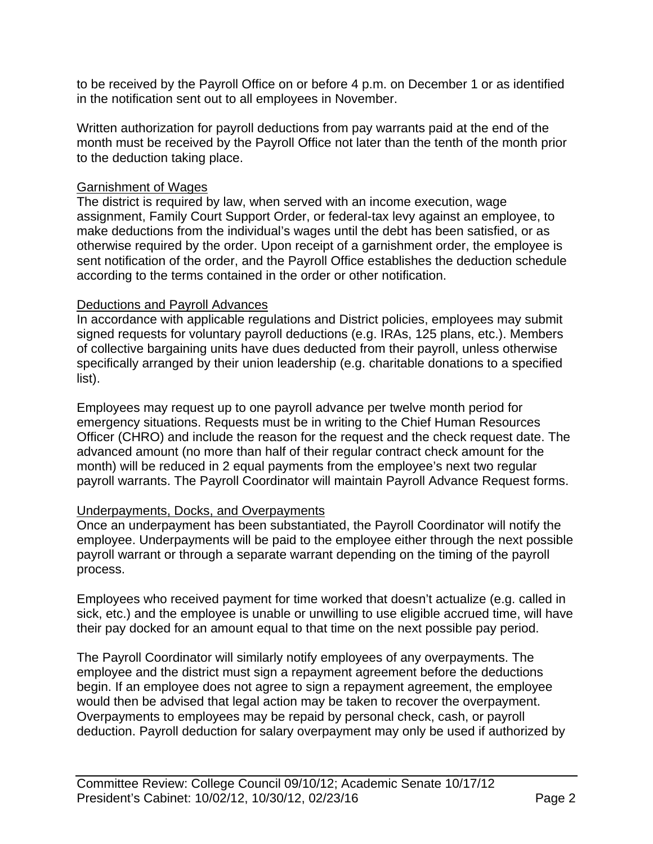to be received by the Payroll Office on or before 4 p.m. on December 1 or as identified in the notification sent out to all employees in November.

Written authorization for payroll deductions from pay warrants paid at the end of the month must be received by the Payroll Office not later than the tenth of the month prior to the deduction taking place.

### Garnishment of Wages

The district is required by law, when served with an income execution, wage assignment, Family Court Support Order, or federal-tax levy against an employee, to make deductions from the individual's wages until the debt has been satisfied, or as otherwise required by the order. Upon receipt of a garnishment order, the employee is sent notification of the order, and the Payroll Office establishes the deduction schedule according to the terms contained in the order or other notification.

### Deductions and Payroll Advances

In accordance with applicable regulations and District policies, employees may submit signed requests for voluntary payroll deductions (e.g. IRAs, 125 plans, etc.). Members of collective bargaining units have dues deducted from their payroll, unless otherwise specifically arranged by their union leadership (e.g. charitable donations to a specified list).

Employees may request up to one payroll advance per twelve month period for emergency situations. Requests must be in writing to the Chief Human Resources Officer (CHRO) and include the reason for the request and the check request date. The advanced amount (no more than half of their regular contract check amount for the month) will be reduced in 2 equal payments from the employee's next two regular payroll warrants. The Payroll Coordinator will maintain Payroll Advance Request forms.

# Underpayments, Docks, and Overpayments

Once an underpayment has been substantiated, the Payroll Coordinator will notify the employee. Underpayments will be paid to the employee either through the next possible payroll warrant or through a separate warrant depending on the timing of the payroll process.

Employees who received payment for time worked that doesn't actualize (e.g. called in sick, etc.) and the employee is unable or unwilling to use eligible accrued time, will have their pay docked for an amount equal to that time on the next possible pay period.

The Payroll Coordinator will similarly notify employees of any overpayments. The employee and the district must sign a repayment agreement before the deductions begin. If an employee does not agree to sign a repayment agreement, the employee would then be advised that legal action may be taken to recover the overpayment. Overpayments to employees may be repaid by personal check, cash, or payroll deduction. Payroll deduction for salary overpayment may only be used if authorized by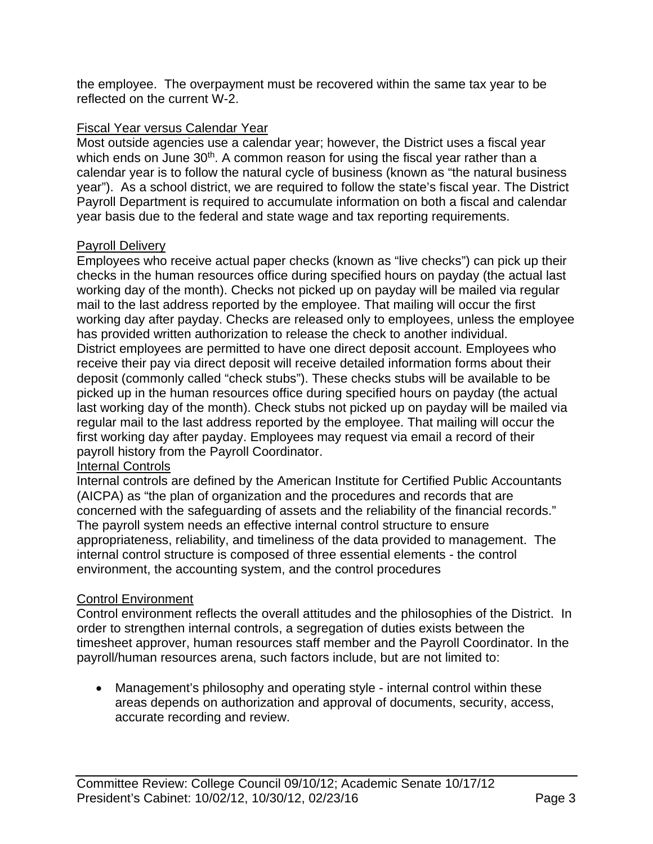the employee. The overpayment must be recovered within the same tax year to be reflected on the current W-2.

### Fiscal Year versus Calendar Year

Most outside agencies use a calendar year; however, the District uses a fiscal year which ends on June 30<sup>th</sup>. A common reason for using the fiscal year rather than a calendar year is to follow the natural cycle of business (known as "the natural business year"). As a school district, we are required to follow the state's fiscal year. The District Payroll Department is required to accumulate information on both a fiscal and calendar year basis due to the federal and state wage and tax reporting requirements.

### Payroll Delivery

Employees who receive actual paper checks (known as "live checks") can pick up their checks in the human resources office during specified hours on payday (the actual last working day of the month). Checks not picked up on payday will be mailed via regular mail to the last address reported by the employee. That mailing will occur the first working day after payday. Checks are released only to employees, unless the employee has provided written authorization to release the check to another individual. District employees are permitted to have one direct deposit account. Employees who receive their pay via direct deposit will receive detailed information forms about their deposit (commonly called "check stubs"). These checks stubs will be available to be picked up in the human resources office during specified hours on payday (the actual last working day of the month). Check stubs not picked up on payday will be mailed via regular mail to the last address reported by the employee. That mailing will occur the first working day after payday. Employees may request via email a record of their payroll history from the Payroll Coordinator.

# Internal Controls

Internal controls are defined by the American Institute for Certified Public Accountants (AICPA) as "the plan of organization and the procedures and records that are concerned with the safeguarding of assets and the reliability of the financial records." The payroll system needs an effective internal control structure to ensure appropriateness, reliability, and timeliness of the data provided to management. The internal control structure is composed of three essential elements - the control environment, the accounting system, and the control procedures

# Control Environment

Control environment reflects the overall attitudes and the philosophies of the District. In order to strengthen internal controls, a segregation of duties exists between the timesheet approver, human resources staff member and the Payroll Coordinator. In the payroll/human resources arena, such factors include, but are not limited to:

 Management's philosophy and operating style - internal control within these areas depends on authorization and approval of documents, security, access, accurate recording and review.